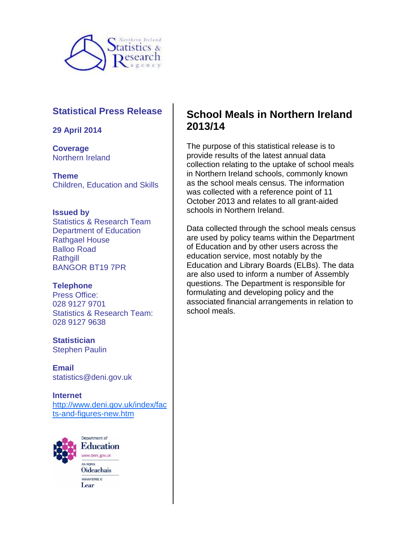

# **Statistical Press Release**

**29 April 2014**

**Coverage** Northern Ireland

**Theme** Children, Education and Skills

#### **Issued by**

Statistics & Research Team Department of Education Rathgael House Balloo Road **Rathgill** BANGOR BT19 7PR

#### **Telephone**

Press Office: 028 9127 9701 Statistics & Research Team: 028 9127 9638

**Statistician** Stephen Paulin

**Email** statistics@deni.gov.uk

## **Internet**

[http://www.deni.gov.uk/index/fac](http://www.deni.gov.uk/index/facts-and-figures-new.htm) [ts-and-figures-new.htm](http://www.deni.gov.uk/index/facts-and-figures-new.htm)



Department of **Education** www.deni.gov.uk AN ROINN

**Oideachais** MÄNNYSTRIE O Lear

# **School Meals in Northern Ireland 2013/14**

The purpose of this statistical release is to provide results of the latest annual data collection relating to the uptake of school meals in Northern Ireland schools, commonly known as the school meals census. The information was collected with a reference point of 11 October 2013 and relates to all grant-aided schools in Northern Ireland.

Data collected through the school meals census are used by policy teams within the Department of Education and by other users across the education service, most notably by the Education and Library Boards (ELBs). The data are also used to inform a number of Assembly questions. The Department is responsible for formulating and developing policy and the associated financial arrangements in relation to school meals.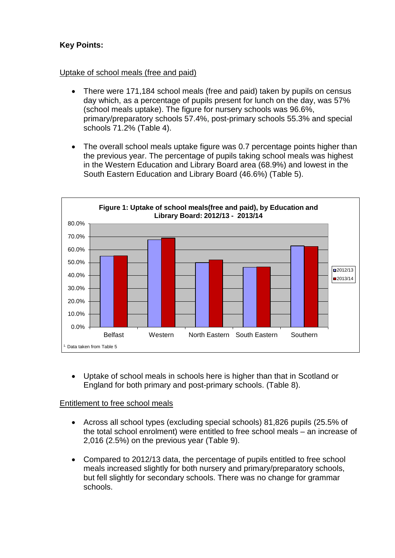## **Key Points:**

## Uptake of school meals (free and paid)

- There were 171,184 school meals (free and paid) taken by pupils on census day which, as a percentage of pupils present for lunch on the day, was 57% (school meals uptake). The figure for nursery schools was 96.6%, primary/preparatory schools 57.4%, post-primary schools 55.3% and special schools 71.2% (Table 4).
- The overall school meals uptake figure was 0.7 percentage points higher than the previous year. The percentage of pupils taking school meals was highest in the Western Education and Library Board area (68.9%) and lowest in the South Eastern Education and Library Board (46.6%) (Table 5).



• Uptake of school meals in schools here is higher than that in Scotland or England for both primary and post-primary schools. (Table 8).

## Entitlement to free school meals

- Across all school types (excluding special schools) 81,826 pupils (25.5% of the total school enrolment) were entitled to free school meals – an increase of 2,016 (2.5%) on the previous year (Table 9).
- Compared to 2012/13 data, the percentage of pupils entitled to free school meals increased slightly for both nursery and primary/preparatory schools, but fell slightly for secondary schools. There was no change for grammar schools.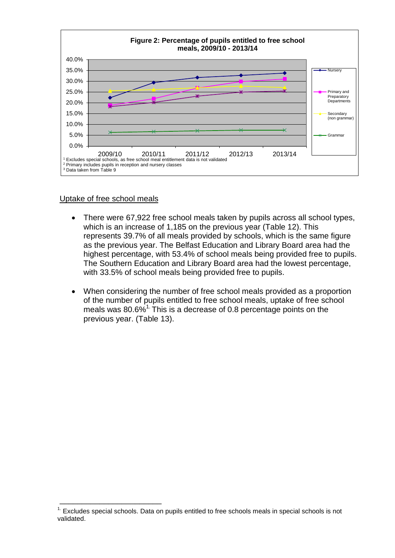

#### Uptake of free school meals

\_\_\_\_\_\_\_\_\_\_\_\_\_\_\_\_\_\_\_\_\_\_\_

- There were 67,922 free school meals taken by pupils across all school types, which is an increase of 1,185 on the previous year (Table 12). This represents 39.7% of all meals provided by schools, which is the same figure as the previous year. The Belfast Education and Library Board area had the highest percentage, with 53.4% of school meals being provided free to pupils. The Southern Education and Library Board area had the lowest percentage, with 33.5% of school meals being provided free to pupils.
- When considering the number of free school meals provided as a proportion of the number of pupils entitled to free school meals, uptake of free school meals was  $80.6\%$ <sup>1.</sup> This is a decrease of 0.8 percentage points on the previous year. (Table 13).

 $1$ . Excludes special schools. Data on pupils entitled to free schools meals in special schools is not validated.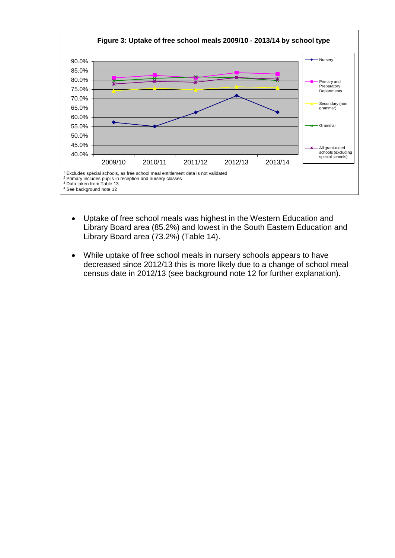

- Uptake of free school meals was highest in the Western Education and Library Board area (85.2%) and lowest in the South Eastern Education and Library Board area (73.2%) (Table 14).
- While uptake of free school meals in nursery schools appears to have decreased since 2012/13 this is more likely due to a change of school meal census date in 2012/13 (see background note 12 for further explanation).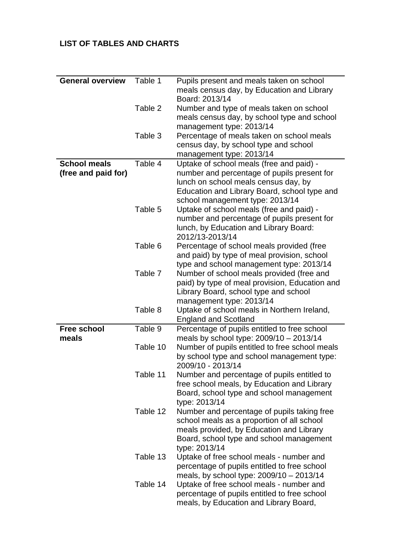# **LIST OF TABLES AND CHARTS**

| <b>General overview</b> | Table 1  | Pupils present and meals taken on school       |
|-------------------------|----------|------------------------------------------------|
|                         |          |                                                |
|                         |          | meals census day, by Education and Library     |
|                         |          | Board: 2013/14                                 |
|                         | Table 2  | Number and type of meals taken on school       |
|                         |          | meals census day, by school type and school    |
|                         |          | management type: 2013/14                       |
|                         | Table 3  | Percentage of meals taken on school meals      |
|                         |          | census day, by school type and school          |
|                         |          | management type: 2013/14                       |
| <b>School meals</b>     | Table 4  | Uptake of school meals (free and paid) -       |
| (free and paid for)     |          | number and percentage of pupils present for    |
|                         |          | lunch on school meals census day, by           |
|                         |          | Education and Library Board, school type and   |
|                         |          | school management type: 2013/14                |
|                         | Table 5  | Uptake of school meals (free and paid) -       |
|                         |          | number and percentage of pupils present for    |
|                         |          | lunch, by Education and Library Board:         |
|                         |          | 2012/13-2013/14                                |
|                         | Table 6  | Percentage of school meals provided (free      |
|                         |          | and paid) by type of meal provision, school    |
|                         |          |                                                |
|                         |          | type and school management type: 2013/14       |
|                         | Table 7  | Number of school meals provided (free and      |
|                         |          | paid) by type of meal provision, Education and |
|                         |          | Library Board, school type and school          |
|                         |          | management type: 2013/14                       |
|                         | Table 8  | Uptake of school meals in Northern Ireland,    |
|                         |          | <b>England and Scotland</b>                    |
| <b>Free school</b>      | Table 9  | Percentage of pupils entitled to free school   |
| meals                   |          | meals by school type: 2009/10 - 2013/14        |
|                         | Table 10 | Number of pupils entitled to free school meals |
|                         |          | by school type and school management type:     |
|                         |          | 2009/10 - 2013/14                              |
|                         | Table 11 | Number and percentage of pupils entitled to    |
|                         |          | free school meals, by Education and Library    |
|                         |          | Board, school type and school management       |
|                         |          | type: 2013/14                                  |
|                         | Table 12 | Number and percentage of pupils taking free    |
|                         |          | school meals as a proportion of all school     |
|                         |          | meals provided, by Education and Library       |
|                         |          | Board, school type and school management       |
|                         |          | type: 2013/14                                  |
|                         | Table 13 | Uptake of free school meals - number and       |
|                         |          | percentage of pupils entitled to free school   |
|                         |          | meals, by school type: 2009/10 - 2013/14       |
|                         | Table 14 | Uptake of free school meals - number and       |
|                         |          | percentage of pupils entitled to free school   |
|                         |          | meals, by Education and Library Board,         |
|                         |          |                                                |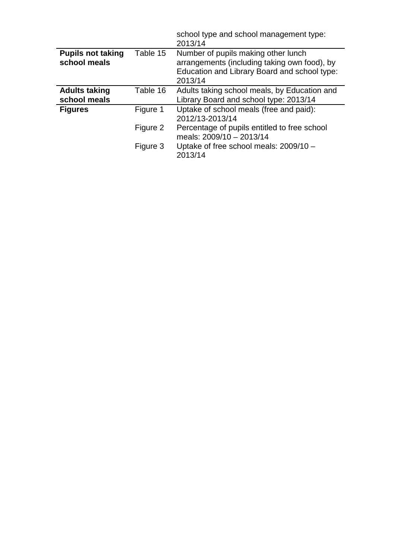| arrangements (including taking own food), by<br>Education and Library Board and school type: |
|----------------------------------------------------------------------------------------------|
| Adults taking school meals, by Education and                                                 |
| Percentage of pupils entitled to free school                                                 |
|                                                                                              |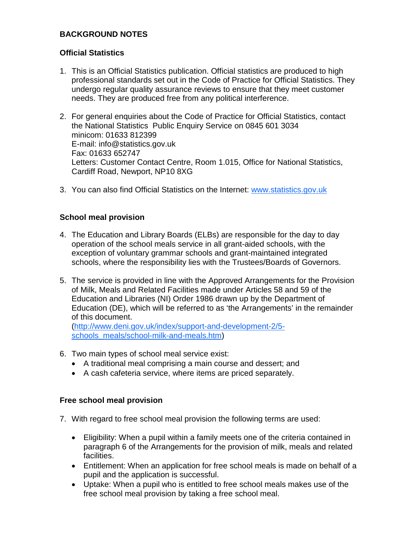#### **BACKGROUND NOTES**

#### **Official Statistics**

- 1. This is an Official Statistics publication. Official statistics are produced to high professional standards set out in the Code of Practice for Official Statistics. They undergo regular quality assurance reviews to ensure that they meet customer needs. They are produced free from any political interference.
- 2. For general enquiries about the Code of Practice for Official Statistics, contact the National Statistics Public Enquiry Service on 0845 601 3034 minicom: 01633 812399 E-mail: info@statistics.gov.uk Fax: 01633 652747 Letters: Customer Contact Centre, Room 1.015, Office for National Statistics, Cardiff Road, Newport, NP10 8XG
- 3. You can also find Official Statistics on the Internet: www.statistics.gov.uk

#### **School meal provision**

- 4. The Education and Library Boards (ELBs) are responsible for the day to day operation of the school meals service in all grant-aided schools, with the exception of voluntary grammar schools and grant-maintained integrated schools, where the responsibility lies with the Trustees/Boards of Governors.
- 5. The service is provided in line with the Approved Arrangements for the Provision of Milk, Meals and Related Facilities made under Articles 58 and 59 of the Education and Libraries (NI) Order 1986 drawn up by the Department of Education (DE), which will be referred to as 'the Arrangements' in the remainder of this document.

[\(http://www.deni.gov.uk/index/support-and-development-2/5](http://www.deni.gov.uk/index/support-and-development-2/5-schools_meals/school-milk-and-meals.htm) [schools\\_meals/school-milk-and-meals.htm\)](http://www.deni.gov.uk/index/support-and-development-2/5-schools_meals/school-milk-and-meals.htm)

- 6. Two main types of school meal service exist:
	- A traditional meal comprising a main course and dessert; and
	- A cash cafeteria service, where items are priced separately.

#### **Free school meal provision**

- 7. With regard to free school meal provision the following terms are used:
	- Eligibility: When a pupil within a family meets one of the criteria contained in paragraph 6 of the Arrangements for the provision of milk, meals and related facilities.
	- Entitlement: When an application for free school meals is made on behalf of a pupil and the application is successful.
	- Uptake: When a pupil who is entitled to free school meals makes use of the free school meal provision by taking a free school meal.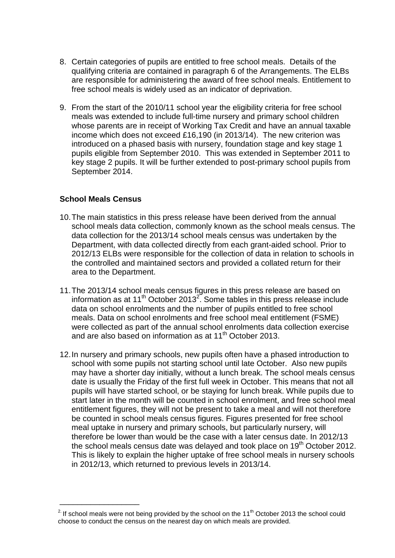- 8. Certain categories of pupils are entitled to free school meals. Details of the qualifying criteria are contained in paragraph 6 of the Arrangements. The ELBs are responsible for administering the award of free school meals. Entitlement to free school meals is widely used as an indicator of deprivation.
- 9. From the start of the 2010/11 school year the eligibility criteria for free school meals was extended to include full-time nursery and primary school children whose parents are in receipt of Working Tax Credit and have an annual taxable income which does not exceed £16,190 (in 2013/14). The new criterion was introduced on a phased basis with nursery, foundation stage and key stage 1 pupils eligible from September 2010. This was extended in September 2011 to key stage 2 pupils. It will be further extended to post-primary school pupils from September 2014.

#### **School Meals Census**

\_\_\_\_\_\_\_\_\_\_\_\_\_\_\_\_\_\_

- 10.The main statistics in this press release have been derived from the annual school meals data collection, commonly known as the school meals census. The data collection for the 2013/14 school meals census was undertaken by the Department, with data collected directly from each grant-aided school. Prior to 2012/13 ELBs were responsible for the collection of data in relation to schools in the controlled and maintained sectors and provided a collated return for their area to the Department.
- 11.The 2013/14 school meals census figures in this press release are based on information as at 11<sup>th</sup> October 2013<sup>2</sup>. Some tables in this press release include data on school enrolments and the number of pupils entitled to free school meals. Data on school enrolments and free school meal entitlement (FSME) were collected as part of the annual school enrolments data collection exercise and are also based on information as at 11<sup>th</sup> October 2013.
- 12.In nursery and primary schools, new pupils often have a phased introduction to school with some pupils not starting school until late October. Also new pupils may have a shorter day initially, without a lunch break. The school meals census date is usually the Friday of the first full week in October. This means that not all pupils will have started school, or be staying for lunch break. While pupils due to start later in the month will be counted in school enrolment, and free school meal entitlement figures, they will not be present to take a meal and will not therefore be counted in school meals census figures. Figures presented for free school meal uptake in nursery and primary schools, but particularly nursery, will therefore be lower than would be the case with a later census date. In 2012/13 the school meals census date was delayed and took place on 19<sup>th</sup> October 2012. This is likely to explain the higher uptake of free school meals in nursery schools in 2012/13, which returned to previous levels in 2013/14.

 $2$ . If school meals were not being provided by the school on the 11<sup>th</sup> October 2013 the school could choose to conduct the census on the nearest day on which meals are provided.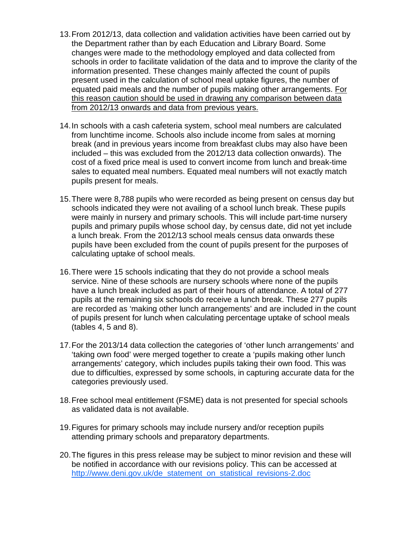- 13.From 2012/13, data collection and validation activities have been carried out by the Department rather than by each Education and Library Board. Some changes were made to the methodology employed and data collected from schools in order to facilitate validation of the data and to improve the clarity of the information presented. These changes mainly affected the count of pupils present used in the calculation of school meal uptake figures, the number of equated paid meals and the number of pupils making other arrangements. For this reason caution should be used in drawing any comparison between data from 2012/13 onwards and data from previous years.
- 14.In schools with a cash cafeteria system, school meal numbers are calculated from lunchtime income. Schools also include income from sales at morning break (and in previous years income from breakfast clubs may also have been included – this was excluded from the 2012/13 data collection onwards). The cost of a fixed price meal is used to convert income from lunch and break-time sales to equated meal numbers. Equated meal numbers will not exactly match pupils present for meals.
- 15.There were 8,788 pupils who were recorded as being present on census day but schools indicated they were not availing of a school lunch break. These pupils were mainly in nursery and primary schools. This will include part-time nursery pupils and primary pupils whose school day, by census date, did not yet include a lunch break. From the 2012/13 school meals census data onwards these pupils have been excluded from the count of pupils present for the purposes of calculating uptake of school meals.
- 16.There were 15 schools indicating that they do not provide a school meals service. Nine of these schools are nursery schools where none of the pupils have a lunch break included as part of their hours of attendance. A total of 277 pupils at the remaining six schools do receive a lunch break. These 277 pupils are recorded as 'making other lunch arrangements' and are included in the count of pupils present for lunch when calculating percentage uptake of school meals (tables 4, 5 and 8).
- 17.For the 2013/14 data collection the categories of 'other lunch arrangements' and 'taking own food' were merged together to create a 'pupils making other lunch arrangements' category, which includes pupils taking their own food. This was due to difficulties, expressed by some schools, in capturing accurate data for the categories previously used.
- 18.Free school meal entitlement (FSME) data is not presented for special schools as validated data is not available.
- 19.Figures for primary schools may include nursery and/or reception pupils attending primary schools and preparatory departments.
- 20.The figures in this press release may be subject to minor revision and these will be notified in accordance with our revisions policy. This can be accessed at [http://www.deni.gov.uk/de\\_statement\\_on\\_statistical\\_revisions-2.doc](http://www.deni.gov.uk/de_statement_on_statistical_revisions-2.doc)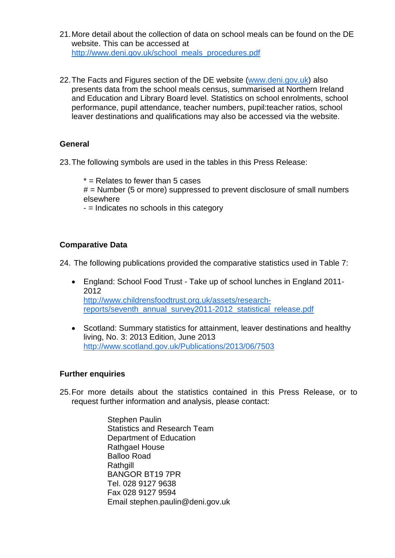- 21.More detail about the collection of data on school meals can be found on the DE website. This can be accessed at [http://www.deni.gov.uk/school\\_meals\\_procedures.pdf](http://www.deni.gov.uk/school_meals_procedures.pdf)
- 22. The Facts and Figures section of the DE website (www.deni.gov.uk) also presents data from the school meals census, summarised at Northern Ireland and Education and Library Board level. Statistics on school enrolments, school performance, pupil attendance, teacher numbers, pupil:teacher ratios, school leaver destinations and qualifications may also be accessed via the website.

#### **General**

23.The following symbols are used in the tables in this Press Release:

 $*$  = Relates to fewer than 5 cases

 $#$  = Number (5 or more) suppressed to prevent disclosure of small numbers elsewhere

- = Indicates no schools in this category

#### **Comparative Data**

24. The following publications provided the comparative statistics used in Table 7:

- England: School Food Trust Take up of school lunches in England 2011- 2012 [http://www.childrensfoodtrust.org.uk/assets/research](http://www.childrensfoodtrust.org.uk/assets/research-reports/seventh_annual_survey2011-2012_statistical_release.pdf)[reports/seventh\\_annual\\_survey2011-2012\\_statistical\\_release.pdf](http://www.childrensfoodtrust.org.uk/assets/research-reports/seventh_annual_survey2011-2012_statistical_release.pdf)
- Scotland: Summary statistics for attainment, leaver destinations and healthy living, No. 3: 2013 Edition, June 2013 <http://www.scotland.gov.uk/Publications/2013/06/7503>

#### **Further enquiries**

25.For more details about the statistics contained in this Press Release, or to request further information and analysis, please contact:

> Stephen Paulin Statistics and Research Team Department of Education Rathgael House Balloo Road **Rathgill** BANGOR BT19 7PR Tel. 028 9127 9638 Fax 028 9127 9594 Email stephen.paulin@deni.gov.uk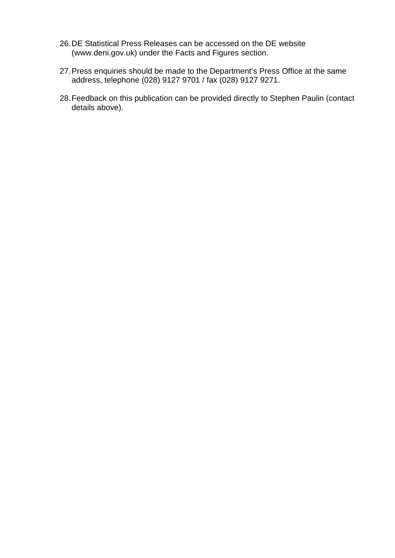- 26.DE Statistical Press Releases can be accessed on the DE website [\(www.deni.gov.uk\)](http://www.deni.gov.uk/) under the Facts and Figures section.
- 27.Press enquiries should be made to the Department's Press Office at the same address, telephone (028) 9127 9701 / fax (028) 9127 9271.
- 28.Feedback on this publication can be provided directly to Stephen Paulin (contact details above).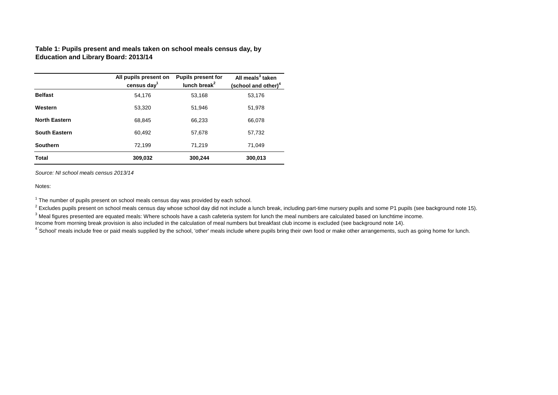#### **Table 1: Pupils present and meals taken on school meals census day, by Education and Library Board: 2013/14**

|                      | All pupils present on<br>census day <sup>1</sup> | <b>Pupils present for</b><br>lunch break $2$ | All meals <sup>3</sup> taken<br>(school and other) <sup>4</sup> |
|----------------------|--------------------------------------------------|----------------------------------------------|-----------------------------------------------------------------|
| <b>Belfast</b>       | 54,176                                           | 53.168                                       | 53,176                                                          |
| Western              | 53,320                                           | 51.946                                       | 51,978                                                          |
| <b>North Eastern</b> | 68.845                                           | 66.233                                       | 66,078                                                          |
| <b>South Eastern</b> | 60.492                                           | 57.678                                       | 57,732                                                          |
| <b>Southern</b>      | 72.199                                           | 71.219                                       | 71.049                                                          |
| Total                | 309,032                                          | 300,244                                      | 300,013                                                         |

*Source: NI school meals census 2013/14* 

Notes:

 $1$  The number of pupils present on school meals census day was provided by each school.

 $^2$  Excludes pupils present on school meals census day whose school day did not include a lunch break, including part-time nursery pupils and some P1 pupils (see background note 15).

 $^3$  Meal figures presented are equated meals: Where schools have a cash cafeteria system for lunch the meal numbers are calculated based on lunchtime income.

Income from morning break provision is also included in the calculation of meal numbers but breakfast club income is excluded (see background note 14).

<sup>4</sup> School' meals include free or paid meals supplied by the school, 'other' meals include where pupils bring their own food or make other arrangements, such as going home for lunch.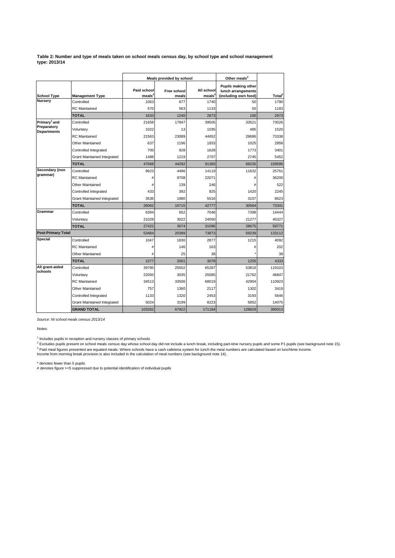**Table 2: Number and type of meals taken on school meals census day, by school type and school management type: 2013/14**

|                                   |                             |                             | Meals provided by school | Other meals <sup>2</sup>         |                                                                   |                    |
|-----------------------------------|-----------------------------|-----------------------------|--------------------------|----------------------------------|-------------------------------------------------------------------|--------------------|
| <b>School Type</b>                | <b>Management Type</b>      | <b>Paid school</b><br>meals | Free school<br>meals     | All school<br>meals <sup>3</sup> | Pupils making other<br>lunch arrangements<br>(including own food) | Total <sup>2</sup> |
| <b>Nursery</b>                    | Controlled                  | 1063                        | 677                      | 1740                             | 50                                                                | 1790               |
|                                   | <b>RC</b> Maintained        | 570                         | 563                      | 1133                             | 50                                                                | 1183               |
|                                   | <b>TOTAL</b>                | 1633                        | 1240                     | 2873                             | 100                                                               | 2973               |
| Primary <sup>1</sup> and          | Controlled                  | 21658                       | 17847                    | 39505                            | 33521                                                             | 73026              |
| Preparatory<br><b>Departments</b> | Voluntary                   | 1022                        | 13                       | 1035                             | 485                                                               | 1520               |
|                                   | <b>RC</b> Maintained        | 21563                       | 23089                    | 44652                            | 28686                                                             | 73338              |
|                                   | Other Maintained            | 637                         | 1196                     | 1833                             | 1025                                                              | 2858               |
|                                   | Controlled Integrated       | 700                         | 928                      | 1628                             | 1773                                                              | 3401               |
|                                   | Grant Maintained Integrated | 1488                        | 1219                     | 2707                             | 2745                                                              | 5452               |
|                                   | <b>TOTAL</b>                | 47068                       | 44292                    | 91360                            | 68235                                                             | 159595             |
| Secondary (non                    | Controlled                  | 9623                        | 4496                     | 14119                            | 11632                                                             | 25751              |
| grammar)                          | <b>RC</b> Maintained        | #                           | 9708                     | 22071                            | #                                                                 | 36200              |
|                                   | Other Maintained            | #                           | 139                      | 246                              | #                                                                 | 522                |
|                                   | Controlled Integrated       | 433                         | 392                      | 825                              | 1420                                                              | 2245               |
|                                   | Grant Maintained Integrated | 3536                        | 1980                     | 5516                             | 3107                                                              | 8623               |
|                                   | <b>TOTAL</b>                | 26062                       | 16715                    | 42777                            | 30564                                                             | 73341              |
| Grammar                           | Controlled                  | 6394                        | 652                      | 7046                             | 7398                                                              | 14444              |
|                                   | Voluntary                   | 21028                       | 3022                     | 24050                            | 21277                                                             | 45327              |
|                                   | <b>TOTAL</b>                | 27422                       | 3674                     | 31096                            | 28675                                                             | 59771              |
| <b>Post-Primary Total</b>         |                             | 53484                       | 20389                    | 73873                            | 59239                                                             | 133112             |
| <b>Special</b>                    | Controlled                  | 1047                        | 1830                     | 2877                             | 1215                                                              | 4092               |
|                                   | <b>RC</b> Maintained        | #                           | 146                      | 163                              | #                                                                 | 202                |
|                                   | Other Maintained            | #                           | 25                       | 38                               |                                                                   | 39                 |
|                                   | <b>TOTAL</b>                | 1077                        | 2001                     | 3078                             | 1255                                                              | 4333               |
| All grant-aided                   | Controlled                  | 39785                       | 25502                    | 65287                            | 53816                                                             | 119103             |
| schools                           | Voluntary                   | 22050                       | 3035                     | 25085                            | 21762                                                             | 46847              |
|                                   | <b>RC</b> Maintained        | 34513                       | 33506                    | 68019                            | 42904                                                             | 110923             |
|                                   | Other Maintained            | 757                         | 1360                     | 2117                             | 1302                                                              | 3419               |
|                                   | Controlled Integrated       | 1133                        | 1320                     | 2453                             | 3193                                                              | 5646               |
|                                   | Grant Maintained Integrated | 5024                        | 3199                     | 8223                             | 5852                                                              | 14075              |
|                                   | <b>GRAND TOTAL</b>          | 103262                      | 67922                    | 171184                           | 128829                                                            | 300013             |

*Source: NI school meals census 2013/14* 

Notes:

<sup>1</sup> Includes pupils in reception and nursery classes of primary schools

 $^2$  Excludes pupils present on school meals census day whose school day did not include a lunch break, including part-time nursery pupils and some P1 pupils (see background note 15).  $^3$  Paid meal figures presented are equated meals: Where schools have a cash cafeteria system for lunch the meal numbers are calculated based on lunchtime income. Income from morning break provision is also included in the calculation of meal numbers (see background note 14).

\* denotes fewer than 5 pupils # denotes figure >=5 suppressed due to potential identification of individual pupils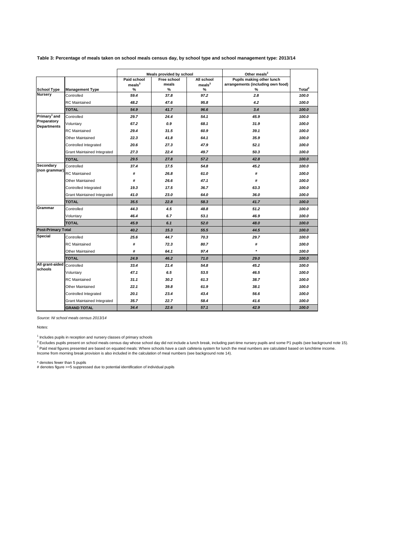**Table 3: Percentage of meals taken on school meals census day, by school type and school management type: 2013/14**

|                                         |                                    |                    | Meals provided by school |                    | Other meals <sup>2</sup>          |                    |
|-----------------------------------------|------------------------------------|--------------------|--------------------------|--------------------|-----------------------------------|--------------------|
|                                         |                                    | Paid school        | Free school              | All school         | Pupils making other lunch         |                    |
|                                         |                                    | meals <sup>3</sup> | meals                    | meals <sup>3</sup> | arrangements (including own food) |                    |
| <b>School Type</b><br><b>Nursery</b>    | <b>Management Type</b>             | %                  | %                        | %                  | %                                 | Total <sup>2</sup> |
|                                         | Controlled                         | 59.4               | 37.8                     | 97.2               | 2.8                               | 100.0              |
|                                         | <b>RC</b> Maintained               | 48.2               | 47.6                     | 95.8               | 4.2                               | 100.0              |
|                                         | <b>TOTAL</b>                       | 54.9               | 41.7                     | 96.6               | 3.4                               | 100.0              |
| Primary <sup>1</sup> and<br>Preparatory | Controlled                         | 29.7               | 24.4                     | 54.1               | 45.9                              | 100.0              |
| <b>Departments</b>                      | Voluntary                          | 67.2               | 0.9                      | 68.1               | 31.9                              | 100.0              |
|                                         | <b>RC</b> Maintained               | 29.4               | 31.5                     | 60.9               | 39.1                              | 100.0              |
|                                         | <b>Other Maintained</b>            | 22.3               | 41.8                     | 64.1               | 35.9                              | 100.0              |
|                                         | Controlled Integrated              | 20.6               | 27.3                     | 47.9               | 52.1                              | 100.0              |
|                                         | Grant Maintained Integrated        | 27.3               | 22.4                     | 49.7               | 50.3                              | 100.0              |
|                                         | <b>TOTAL</b>                       | 29.5               | 27.8                     | 57.2               | 42.8                              | 100.0              |
| Secondary                               | Controlled                         | 37.4               | 17.5                     | 54.8               | 45.2                              | 100.0              |
| (non grammar)                           | <b>RC</b> Maintained               | #                  | 26.8                     | 61.0               | #                                 | 100.0              |
|                                         | <b>Other Maintained</b>            | #                  | 26.6                     | 47.1               | #                                 | 100.0              |
|                                         | Controlled Integrated              | 19.3               | 17.5                     | 36.7               | 63.3                              | 100.0              |
|                                         | <b>Grant Maintained Integrated</b> | 41.0               | 23.0                     | 64.0               | 36.0                              | 100.0              |
|                                         | <b>TOTAL</b>                       | 35.5               | 22.8                     | 58.3               | 41.7                              | 100.0              |
| Grammar                                 | Controlled                         | 44.3               | 4.5                      | 48.8               | 51.2                              | 100.0              |
|                                         | Voluntary                          | 46.4               | 6.7                      | 53.1               | 46.9                              | 100.0              |
|                                         | <b>TOTAL</b>                       | 45.9               | 6.1                      | 52.0               | 48.0                              | 100.0              |
| <b>Post-Primary Total</b>               |                                    | 40.2               | 15.3                     | 55.5               | 44.5                              | 100.0              |
| <b>Special</b>                          | Controlled                         | 25.6               | 44.7                     | 70.3               | 29.7                              | 100.0              |
|                                         | <b>RC</b> Maintained               | #                  | 72.3                     | 80.7               | #                                 | 100.0              |
|                                         | <b>Other Maintained</b>            | #                  | 64.1                     | 97.4               | $\star$                           | 100.0              |
|                                         | <b>TOTAL</b>                       | 24.9               | 46.2                     | 71.0               | 29.0                              | 100.0              |
| All grant-aided Controlled              |                                    | 33.4               | 21.4                     | 54.8               | 45.2                              | 100.0              |
| schools                                 | Voluntary                          | 47.1               | 6.5                      | 53.5               | 46.5                              | 100.0              |
|                                         | <b>RC</b> Maintained               | 31.1               | 30.2                     | 61.3               | 38.7                              | 100.0              |
|                                         | <b>Other Maintained</b>            | 22.1               | 39.8                     | 61.9               | 38.1                              | 100.0              |
|                                         | Controlled Integrated              | 20.1               | 23.4                     | 43.4               | 56.6                              | 100.0              |
|                                         | <b>Grant Maintained Integrated</b> | 35.7               | 22.7                     | 58.4               | 41.6                              | 100.0              |
|                                         | <b>GRAND TOTAL</b>                 | 34.4               | 22.6                     | 57.1               | 42.9                              | 100.0              |

*Source: NI school meals census 2013/14*

Notes:

<sup>1</sup> Includes pupils in reception and nursery classes of primary schools

<sup>2</sup> Excludes pupils present on school meals census day whose school day did not include a lunch break, including part-time nursery pupils and some P1 pupils (see background note 15).<br><sup>3</sup> Paid meal figures presented are bas Income from morning break provision is also included in the calculation of meal numbers (see background note 14).

\* denotes fewer than 5 pupils # denotes figure >=5 suppressed due to potential identification of individual pupils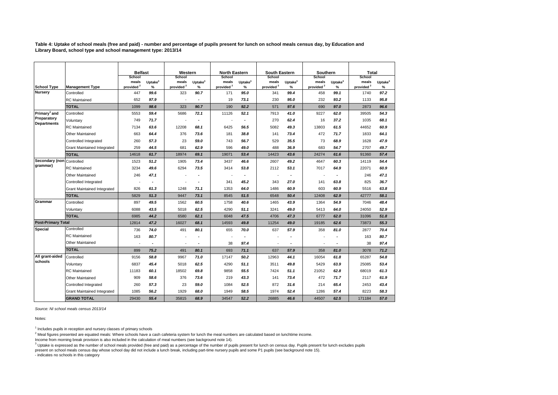**Table 4: Uptake of school meals (free and paid) - number and percentage of pupils present for lunch on school meals census day, by Education and Library Board, school type and school management type: 2013/14**

|                           |                                    | <b>Belfast</b>                 |                             | Western                        |                          | <b>North Eastern</b>           |                          | South Eastern                  |                          | Southern                       |                             | <b>Total</b>                   |                          |
|---------------------------|------------------------------------|--------------------------------|-----------------------------|--------------------------------|--------------------------|--------------------------------|--------------------------|--------------------------------|--------------------------|--------------------------------|-----------------------------|--------------------------------|--------------------------|
|                           |                                    | School                         |                             | School                         |                          | School                         |                          | School                         |                          | School                         |                             | School                         |                          |
| <b>School Type</b>        | <b>Management Type</b>             | meals<br>provided <sup>2</sup> | Uptake <sup>3</sup><br>$\%$ | meals<br>provided <sup>2</sup> | Uptake <sup>3</sup><br>% | meals<br>provided <sup>2</sup> | Uptake <sup>3</sup><br>% | meals<br>provided <sup>2</sup> | Uptake <sup>3</sup><br>% | meals<br>provided <sup>2</sup> | Uptake <sup>3</sup><br>$\%$ | meals<br>provided <sup>2</sup> | Uptake <sup>3</sup><br>% |
| <b>Nursery</b>            | Controlled                         | 447                            | 99.6                        | 323                            | 90.7                     | 171                            | 95.0                     | 341                            | 99.4                     | 458                            | 99.1                        | 1740                           | 97.2                     |
|                           | <b>RC</b> Maintained               | 652                            | 97.9                        |                                |                          | 19                             | 73.1                     | 230                            | 95.0                     | 232                            | 93.2                        | 1133                           | 95.8                     |
|                           | <b>TOTAL</b>                       | 1099                           | 98.6                        | 323                            | 90.7                     | 190                            | 92.2                     | 571                            | 97.6                     | 690                            | 97.0                        | 2873                           | 96.6                     |
| Primary <sup>1</sup> and  | Controlled                         | 5553                           | 59.4                        | 5686                           | 72.1                     | 11126                          | 52.1                     | 7913                           | 41.0                     | 9227                           | 62.0                        | 39505                          | 54.3                     |
| Preparatory               | Voluntary                          | 749                            | 71.7                        |                                | $\overline{\phantom{a}}$ |                                |                          | 270                            | 62.4                     | 16                             | 37.2                        | 1035                           | 68.1                     |
| <b>Departments</b>        | <b>RC</b> Maintained               | 7134                           | 63.6                        | 12208                          | 68.1                     | 6425                           | 56.5                     | 5082                           | 49.3                     | 13803                          | 61.5                        | 44652                          | 60.9                     |
|                           | <b>Other Maintained</b>            | 663                            | 64.4                        | 376                            | 73.6                     | 181                            | 38.8                     | 141                            | 73.4                     | 472                            | 71.7                        | 1833                           | 64.1                     |
|                           | Controlled Integrated              | 260                            | 57.3                        | 23                             | 59.0                     | 743                            | 56.7                     | 529                            | 35.5                     | 73                             | 68.9                        | 1628                           | 47.9                     |
|                           | <b>Grant Maintained Integrated</b> | 259                            | 44.5                        | 681                            | 62.9                     | 596                            | 49.0                     | 488                            | 36.9                     | 683                            | 54.7                        | 2707                           | 49.7                     |
|                           | <b>TOTAL</b>                       | 14618                          | 61.7                        | 18974                          | 69.1                     | 19071                          | 53.4                     | 14423                          | 43.6                     | 24274                          | 61.6                        | 91360                          | 57.4                     |
| Secondary (non Controlled |                                    | 1523                           | 51.2                        | 1905                           | 73.4                     | 3437                           | 46.6                     | 2607                           | 49.2                     | 4647                           | 60.3                        | 14119                          | 54.4                     |
| grammar)                  | <b>RC</b> Maintained               | 3234                           | 49.6                        | 6294                           | 73.5                     | 3414                           | 53.8                     | 2112                           | 53.1                     | 7017                           | 64.9                        | 22071                          | 60.9                     |
|                           | <b>Other Maintained</b>            | 246                            | 47.1                        |                                |                          |                                |                          |                                |                          | $\overline{\phantom{a}}$       |                             | 246                            | 47.1                     |
|                           | Controlled Integrated              | $\overline{\phantom{a}}$       | $\tilde{\phantom{a}}$       |                                |                          | 341                            | 45.2                     | 343                            | 27.0                     | 141                            | 63.8                        | 825                            | 36.7                     |
|                           | <b>Grant Maintained Integrated</b> | 826                            | 61.3                        | 1248                           | 71.1                     | 1353                           | 64.0                     | 1486                           | 60.9                     | 603                            | 60.9                        | 5516                           | 63.8                     |
|                           | <b>TOTAL</b>                       | 5829                           | 51.3                        | 9447                           | 73.1                     | 8545                           | 51.5                     | 6548                           | 50.4                     | 12408                          | 62.9                        | 42777                          | 58.1                     |
| Grammar                   | Controlled                         | 897                            | 49.5                        | 1562                           | 60.5                     | 1758                           | 40.6                     | 1465                           | 43.9                     | 1364                           | 54.9                        | 7046                           | 48.4                     |
|                           | Voluntary                          | 6088                           | 43.5                        | 5018                           | 62.5                     | 4290                           | 51.1                     | 3241                           | 49.0                     | 5413                           | 64.0                        | 24050                          | 52.9                     |
|                           | <b>TOTAL</b>                       | 6985                           | 44.2                        | 6580                           | 62.1                     | 6048                           | 47.5                     | 4706                           | 47.3                     | 6777                           | 62.0                        | 31096                          | 51.8                     |
| <b>Post-Primary Total</b> |                                    | 12814                          | 47.2                        | 16027                          | 68.1                     | 14593                          | 49.8                     | 11254                          | 49.0                     | 19185                          | 62.6                        | 73873                          | 55.3                     |
| Special                   | Controlled                         | 736                            | 74.0                        | 491                            | 80.1                     | 655                            | 70.0                     | 637                            | 57.9                     | 358                            | 81.0                        | 2877                           | 70.4                     |
|                           | <b>RC</b> Maintained               | 163                            | 80.7                        |                                |                          | $\overline{\phantom{a}}$       |                          |                                |                          |                                |                             | 163                            | 80.7                     |
|                           | Other Maintained                   |                                | $\tilde{\phantom{a}}$       |                                |                          | 38                             | 97.4                     |                                |                          |                                | $\overline{a}$              | 38                             | 97.4                     |
|                           | <b>TOTAL</b>                       | 899                            | 75.2                        | 491                            | 80.1                     | 693                            | 71.1                     | 637                            | 57.9                     | 358                            | 81.0                        | 3078                           | 71.2                     |
| All grant-aided           | Controlled                         | 9156                           | 58.8                        | 9967                           | 71.0                     | 17147                          | 50.2                     | 12963                          | 44.1                     | 16054                          | 61.8                        | 65287                          | 54.8                     |
| schools                   | Voluntary                          | 6837                           | 45.4                        | 5018                           | 62.5                     | 4290                           | 51.1                     | 3511                           | 49.8                     | 5429                           | 63.9                        | 25085                          | 53.4                     |
|                           | <b>RC</b> Maintained               | 11183                          | 60.1                        | 18502                          | 69.8                     | 9858                           | 55.5                     | 7424                           | 51.1                     | 21052                          | 62.8                        | 68019                          | 61.3                     |
|                           | <b>Other Maintained</b>            | 909                            | 58.6                        | 376                            | 73.6                     | 219                            | 43.3                     | 141                            | 73.4                     | 472                            | 71.7                        | 2117                           | 61.9                     |
|                           | Controlled Integrated              | 260                            | 57.3                        | 23                             | 59.0                     | 1084                           | 52.5                     | 872                            | 31.6                     | 214                            | 65.4                        | 2453                           | 43.4                     |
|                           | <b>Grant Maintained Integrated</b> | 1085                           | 56.2                        | 1929                           | 68.0                     | 1949                           | 58.5                     | 1974                           | 52.4                     | 1286                           | 57.4                        | 8223                           | 58.3                     |
|                           | <b>GRAND TOTAL</b>                 | 29430                          | 55.4                        | 35815                          | 68.9                     | 34547                          | 52.2                     | 26885                          | 46.6                     | 44507                          | 62.5                        | 171184                         | 57.0                     |

*Source: NI school meals census 2013/14* 

Notes:

<sup>1</sup> Includes pupils in reception and nursery classes of primary schools

 $^2$  Meal figures presented are equated meals: Where schools have a cash cafeteria system for lunch the meal numbers are calculated based on lunchtime income.

Income from morning break provision is also included in the calculation of meal numbers (see background note 14).

 $3$  Uptake is expressed as the number of school meals provided (free and paid) as a percentage of the number of pupils present for lunch on census day. Pupils present for lunch excludes pupils present on school meals census day whose school day did not include a lunch break, including part-time nursery pupils and some P1 pupils (see background note 15).

- indicates no schools in this category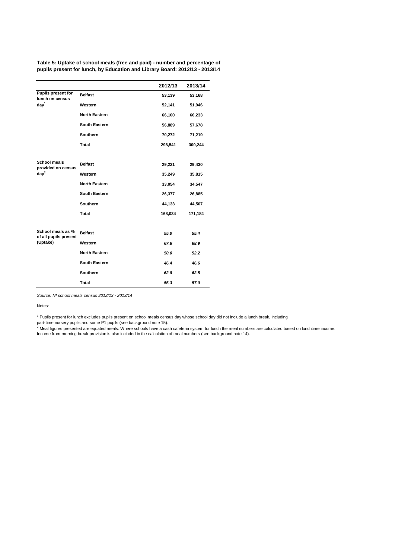**Table 5: Uptake of school meals (free and paid) - number and percentage of pupils present for lunch, by Education and Library Board: 2012/13 - 2013/14**

|                                            |                      | 2012/13 | 2013/14 |
|--------------------------------------------|----------------------|---------|---------|
| Pupils present for<br>lunch on census      | <b>Belfast</b>       | 53,139  | 53,168  |
| day <sup>1</sup>                           | Western              | 52,141  | 51,946  |
|                                            | <b>North Eastern</b> | 66,100  | 66,233  |
|                                            | South Eastern        | 56,889  | 57,678  |
|                                            | Southern             | 70,272  | 71,219  |
|                                            | <b>Total</b>         | 298,541 | 300,244 |
|                                            |                      |         |         |
| <b>School meals</b><br>provided on census  | <b>Belfast</b>       | 29,221  | 29,430  |
| day <sup>2</sup>                           | Western              | 35,249  | 35,815  |
|                                            | <b>North Eastern</b> | 33,054  | 34,547  |
|                                            | <b>South Eastern</b> | 26,377  | 26,885  |
|                                            | <b>Southern</b>      | 44,133  | 44,507  |
|                                            | Total                | 168,034 | 171,184 |
|                                            |                      |         |         |
| School meals as %<br>of all pupils present | <b>Belfast</b>       | 55.0    | 55.4    |
| (Uptake)                                   | Western              | 67.6    | 68.9    |
|                                            | <b>North Eastern</b> | 50.0    | 52.2    |
|                                            | South Eastern        | 46.4    | 46.6    |
|                                            | Southern             | 62.8    | 62.5    |
|                                            | <b>Total</b>         | 56.3    | 57.0    |

*Source: NI school meals census 2012/13 - 2013/14* 

Notes:

<sup>1</sup> Pupils present for lunch excludes pupils present on school meals census day whose school day did not include a lunch break, including

part-time nursery pupils and some P1 pupils (see background note 15).<br><sup>2</sup> Meal figures presented are equated meals: Where schools have a cash cafeteria system for lunch the meal numbers are calculated based on lunchtime in Income from morning break provision is also included in the calculation of meal numbers (see background note 14).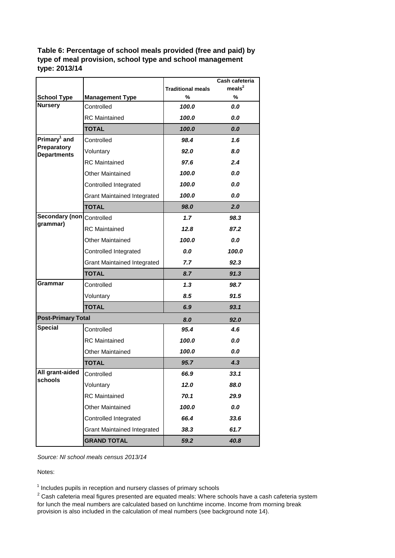**Table 6: Percentage of school meals provided (free and paid) by type of meal provision, school type and school management type: 2013/14**

|                                   |                                    | <b>Traditional meals</b> | Cash cafeteria<br>meals <sup>2</sup> |
|-----------------------------------|------------------------------------|--------------------------|--------------------------------------|
| <b>School Type</b>                | <b>Management Type</b>             | %                        | %                                    |
| <b>Nursery</b>                    | Controlled                         | 100.0                    | 0.0                                  |
|                                   | <b>RC</b> Maintained               | 100.0                    | 0.0                                  |
|                                   | <b>TOTAL</b>                       | 100.0                    | 0.0                                  |
| Primary <sup>1</sup> and          | Controlled                         | 98.4                     | 1.6                                  |
| Preparatory<br><b>Departments</b> | Voluntary                          | 92.0                     | 8.0                                  |
|                                   | <b>RC</b> Maintained               | 97.6                     | 2.4                                  |
|                                   | <b>Other Maintained</b>            | 100.0                    | 0.0                                  |
|                                   | Controlled Integrated              | 100.0                    | 0.0                                  |
|                                   | <b>Grant Maintained Integrated</b> | 100.0                    | 0.0                                  |
|                                   | <b>TOTAL</b>                       | 98.0                     | 2.0                                  |
| Secondary (non                    | Controlled                         | 1.7                      | 98.3                                 |
| grammar)                          | <b>RC</b> Maintained               | 12.8                     | 87.2                                 |
|                                   | <b>Other Maintained</b>            | 100.0                    | 0.0                                  |
|                                   | Controlled Integrated              | 0.0                      | 100.0                                |
|                                   | <b>Grant Maintained Integrated</b> | 7.7                      | 92.3                                 |
|                                   | <b>TOTAL</b>                       | 8.7                      | 91.3                                 |
| Grammar                           | Controlled                         | 1.3                      | 98.7                                 |
|                                   | Voluntary                          | 8.5                      | 91.5                                 |
|                                   | <b>TOTAL</b>                       | 6.9                      | 93.1                                 |
| <b>Post-Primary Total</b>         |                                    | 8.0                      | 92.0                                 |
| <b>Special</b>                    | Controlled                         | 95.4                     | 4.6                                  |
|                                   | <b>RC</b> Maintained               | 100.0                    | 0.0                                  |
|                                   | <b>Other Maintained</b>            | 100.0                    | 0.0                                  |
|                                   | <b>TOTAL</b>                       | 95.7                     | 4.3                                  |
| All grant-aided<br>schools        | Controlled                         | 66.9                     | 33.1                                 |
|                                   | Voluntary                          | 12.0                     | 88.0                                 |
|                                   | <b>RC</b> Maintained               | 70.1                     | 29.9                                 |
|                                   | Other Maintained                   | 100.0                    | 0.0                                  |
|                                   | Controlled Integrated              | 66.4                     | 33.6                                 |
|                                   | Grant Maintained Integrated        | 38.3                     | 61.7                                 |
|                                   | <b>GRAND TOTAL</b>                 | 59.2                     | 40.8                                 |

*Source: NI school meals census 2013/14* 

Notes:

 $<sup>1</sup>$  Includes pupils in reception and nursery classes of primary schools</sup>

 $^{2}$  Cash cafeteria meal figures presented are equated meals: Where schools have a cash cafeteria system for lunch the meal numbers are calculated based on lunchtime income. Income from morning break provision is also included in the calculation of meal numbers (see background note 14).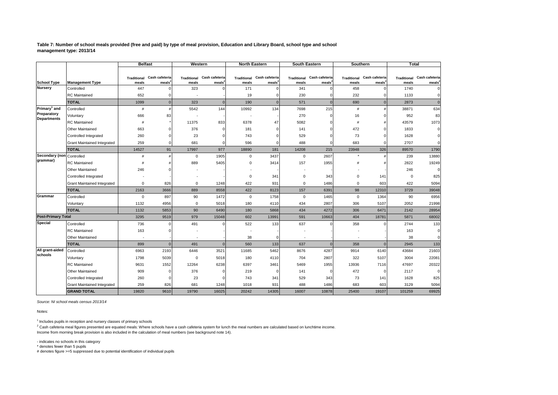**Table 7: Number of school meals provided (free and paid) by type of meal provision, Education and Library Board, school type and school management type: 2013/14**

|                                   |                                    | <b>Belfast</b>     |                |                    | Western        | <b>North Eastern</b> |                    | <b>South Eastern</b>     |                | Southern           |                | <b>Total</b>       |                |
|-----------------------------------|------------------------------------|--------------------|----------------|--------------------|----------------|----------------------|--------------------|--------------------------|----------------|--------------------|----------------|--------------------|----------------|
|                                   |                                    |                    |                |                    |                |                      |                    |                          |                |                    |                |                    |                |
|                                   |                                    | <b>Traditional</b> | Cash cafeteria | <b>Traditional</b> | Cash cafeteria | <b>Traditional</b>   | Cash cafeteria     | <b>Traditional</b>       | Cash cafeteria | <b>Traditional</b> | Cash cafeteria | <b>Traditional</b> | Cash cafeteria |
| <b>School Type</b>                | <b>Management Type</b>             | meals              | meals          | meals              | meals          | meals                | meals <sup>2</sup> | meals                    | meals          | meals              | meals          | meals              | meals          |
| Nursery                           | Controlled                         | 447                |                | 323                | ſ              | 171                  | $\Omega$           | 341                      | $\Omega$       | 458                | $\Omega$       | 1740               | $\mathbf 0$    |
|                                   | <b>RC</b> Maintained               | 652                |                |                    |                | 19                   |                    | 230                      | C              | 232                |                | 1133               | $\mathbf 0$    |
|                                   | <b>TOTAL</b>                       | 1099               | $\overline{0}$ | 323                | $\mathbf{0}$   | 190                  | $\mathbf{0}$       | 571                      | $\mathbf{0}$   | 690                | $\overline{0}$ | 2873               | $\Omega$       |
| Primary <sup>1</sup> and          | Controlled                         | #                  | #              | 5542               | 144            | 10992                | 134                | 7698                     | 215            | $\#$               |                | 38871              | 634            |
| Preparatory<br><b>Departments</b> | Voluntary                          | 666                | 83             |                    |                |                      |                    | 270                      | O              | 16                 |                | 952                | 83             |
|                                   | <b>RC</b> Maintained               | #                  |                | 11375              | 833            | 6378                 | 47                 | 5082                     |                | #                  |                | 43579              | 1073           |
|                                   | <b>Other Maintained</b>            | 663                |                | 376                | $\Omega$       | 181                  | $\Omega$           | 141                      |                | 472                |                | 1833               | $\Omega$       |
|                                   | Controlled Integrated              | 260                |                | 23                 | $\Omega$       | 743                  | $\Omega$           | 529                      |                | 73                 |                | 1628               |                |
|                                   | <b>Grant Maintained Integrated</b> | 259                | n              | 681                | O              | 596                  | $\Omega$           | 488                      | n              | 683                |                | 2707               |                |
|                                   | <b>TOTAL</b>                       | 14527              | 91             | 17997              | 977            | 18890                | 181                | 14208                    | 215            | 23948              | 326            | 89570              | 1790           |
| Secondary (non Controlled         |                                    | #                  |                | $\mathbf 0$        | 1905           | $\mathbf 0$          | 3437               | $\mathbf 0$              | 2607           | $\star$            |                | 239                | 13880          |
| grammar)                          | <b>RC</b> Maintained               |                    |                | 889                | 5405           | $\Omega$             | 3414               | 157                      | 1955           | #                  |                | 2822               | 19249          |
|                                   | <b>Other Maintained</b>            | 246                |                |                    |                |                      |                    |                          |                |                    |                | 246                |                |
|                                   | Controlled Integrated              |                    |                |                    |                | $\mathbf 0$          | 341                | $\mathbf 0$              | 343            | 0                  | 141            | $\mathbf 0$        | 825            |
|                                   | <b>Grant Maintained Integrated</b> | $\Omega$           | 826            | $\Omega$           | 1248           | 422                  | 931                | $\Omega$                 | 1486           | $\Omega$           | 603            | 422                | 5094           |
|                                   | <b>TOTAL</b>                       | 2163               | 3666           | 889                | 8558           | 422                  | 8123               | 157                      | 6391           | 98                 | 12310          | 3729               | 39048          |
| Grammar                           | Controlled                         | $\mathbf 0$        | 897            | 90                 | 1472           | $\mathbf 0$          | 1758               | $\mathbf 0$              | 1465           | $\mathbf 0$        | 1364           | 90                 | 6956           |
|                                   | Voluntary                          | 1132               | 4956           | $\mathbf 0$        | 5018           | 180                  | 4110               | 434                      | 2807           | 306                | 5107           | 2052               | 21998          |
|                                   | <b>TOTAL</b>                       | 1132               | 5853           | 90                 | 6490           | 180                  | 5868               | 434                      | 4272           | 306                | 6471           | 2142               | 28954          |
| <b>Post-Primary Total</b>         |                                    | 3295               | 9519           | 979                | 15048          | 602                  | 13991              | 591                      | 10663          | 404                | 18781          | 5871               | 68002          |
| <b>Special</b>                    | Controlled                         | 736                |                | 491                |                | 522                  | 133                | 637                      | U              | 358                |                | 2744               | 133            |
|                                   | <b>RC</b> Maintained               | 163                |                |                    |                |                      |                    |                          |                |                    |                | 163                | $\Omega$       |
|                                   | <b>Other Maintained</b>            |                    |                |                    |                | 38                   | $\Omega$           | $\overline{\phantom{a}}$ |                | $\overline{a}$     |                | 38                 | $\Omega$       |
|                                   | <b>TOTAL</b>                       | 899                | $\Omega$       | 491                | $\Omega$       | 560                  | 133                | 637                      | $\mathbf{0}$   | 358                | $\Omega$       | 2945               | 133            |
| All grant-aided                   | Controlled                         | 6963               | 2193           | 6446               | 3521           | 11685                | 5462               | 8676                     | 4287           | 9914               | 6140           | 43684              | 21603          |
| schools                           | Voluntary                          | 1798               | 5039           | $\mathbf 0$        | 5018           | 180                  | 4110               | 704                      | 2807           | 322                | 5107           | 3004               | 22081          |
|                                   | <b>RC</b> Maintained               | 9631               | 1552           | 12264              | 6238           | 6397                 | 3461               | 5469                     | 1955           | 13936              | 7116           | 47697              | 20322          |
|                                   | <b>Other Maintained</b>            | 909                | $\Omega$       | 376                | $\Omega$       | 219                  | $\Omega$           | 141                      | $\Omega$       | 472                | $\Omega$       | 2117               |                |
|                                   | Controlled Integrated              | 260                | $\Omega$       | 23                 | $\Omega$       | 743                  | 341                | 529                      | 343            | 73                 | 141            | 1628               | 825            |
|                                   | <b>Grant Maintained Integrated</b> | 259                | 826            | 681                | 1248           | 1018                 | 931                | 488                      | 1486           | 683                | 603            | 3129               | 5094           |
|                                   | <b>GRAND TOTAL</b>                 | 19820              | 9610           | 19790              | 16025          | 20242                | 14305              | 16007                    | 10878          | 25400              | 19107          | 101259             | 69925          |

*Source: NI school meals census 2013/14* 

Notes:

<sup>1</sup> Includes pupils in reception and nursery classes of primary schools

 $^2$  Cash cafeteria meal figures presented are equated meals: Where schools have a cash cafeteria system for lunch the meal numbers are calculated based on lunchtime income.

Income from morning break provision is also included in the calculation of meal numbers (see background note 14).

- indicates no schools in this category

\* denotes fewer than 5 pupils

# denotes figure >=5 suppressed due to potential identification of individual pupils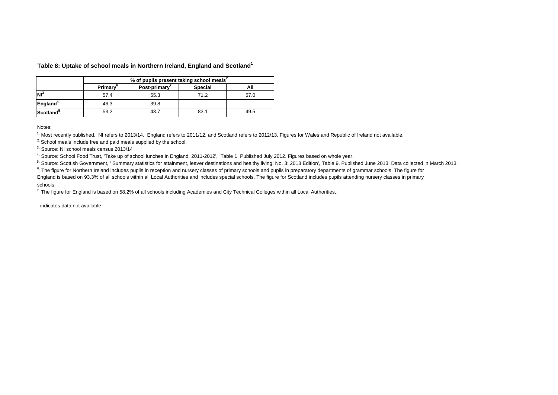|  | Table 8: Uptake of school meals in Northern Ireland, England and Scotland <sup>1</sup> |  |
|--|----------------------------------------------------------------------------------------|--|
|--|----------------------------------------------------------------------------------------|--|

|                      | % of pupils present taking school meals <sup>2</sup> |              |                |      |  |  |  |  |  |
|----------------------|------------------------------------------------------|--------------|----------------|------|--|--|--|--|--|
|                      | Primary <sup>o</sup>                                 | Post-primary | <b>Special</b> | All  |  |  |  |  |  |
| Nl <sup>3</sup>      | 57.4                                                 | 55.3         | 71.2           | 57.0 |  |  |  |  |  |
| England <sup>4</sup> | 46.3                                                 | 39.8         |                |      |  |  |  |  |  |
| $\sf Iscotland^5$    | 53.2                                                 | 43.7         | 83.1           | 49.5 |  |  |  |  |  |

#### Notes:

<sup>1.</sup> Most recently published. NI refers to 2013/14. England refers to 2011/12, and Scotland refers to 2012/13. Figures for Wales and Republic of Ireland not available.

<sup>2</sup>. School meals include free and paid meals supplied by the school.

<sup>3.</sup> Source: NI school meals census 2013/14

4. Source: School Food Trust, 'Take up of school lunches in England, 2011-2012', Table 1. Published July 2012. Figures based on whole year.

5. Source: Scottish Government, ' Summary statistics for attainment, leaver destinations and healthy living, No. 3: 2013 Edition', Table 9. Published June 2013. Data collected in March 2013.

<sup>6</sup>. The figure for Northern Ireland includes pupils in reception and nursery classes of primary schools and pupils in preparatory departments of grammar schools. The figure for

England is based on 93.3% of all schools within all Local Authorities and includes special schools. The figure for Scotland includes pupils attending nursery classes in primary schools.

 $7.$  The figure for England is based on 58.2% of all schools including Academies and City Technical Colleges within all Local Authorities..

- indicates data not available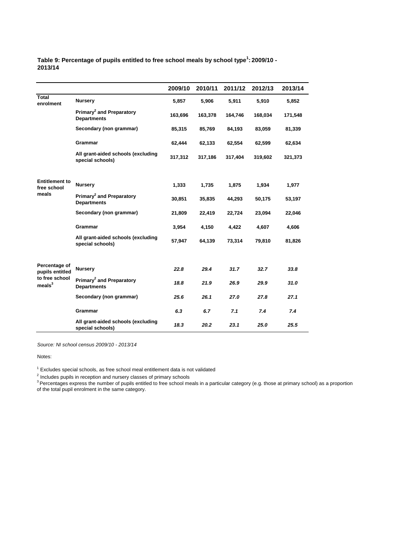#### **Table 9: Percentage of pupils entitled to free school meals by school type<sup>1</sup> : 2009/10 - 2013/14**

|                                      |                                                            | 2009/10 | 2010/11 | 2011/12 | 2012/13 | 2013/14 |
|--------------------------------------|------------------------------------------------------------|---------|---------|---------|---------|---------|
| <b>Total</b><br>enrolment            | <b>Nursery</b>                                             | 5,857   | 5,906   | 5,911   | 5,910   | 5,852   |
|                                      | Primary <sup>2</sup> and Preparatory<br><b>Departments</b> | 163,696 | 163,378 | 164,746 | 168,034 | 171,548 |
|                                      | Secondary (non grammar)                                    | 85,315  | 85,769  | 84,193  | 83,059  | 81,339  |
|                                      | Grammar                                                    | 62,444  | 62,133  | 62,554  | 62,599  | 62,634  |
|                                      | All grant-aided schools (excluding<br>special schools)     | 317,312 | 317,186 | 317,404 | 319,602 | 321,373 |
| <b>Entitlement to</b><br>free school | <b>Nursery</b>                                             | 1,333   | 1,735   | 1,875   | 1,934   | 1,977   |
| meals                                | Primary <sup>2</sup> and Preparatory<br><b>Departments</b> | 30,851  | 35,835  | 44,293  | 50,175  | 53,197  |
|                                      | Secondary (non grammar)                                    | 21,809  | 22,419  | 22,724  | 23,094  | 22,046  |
|                                      | <b>Grammar</b>                                             | 3,954   | 4,150   | 4,422   | 4,607   | 4,606   |
|                                      | All grant-aided schools (excluding<br>special schools)     | 57,947  | 64,139  | 73,314  | 79,810  | 81,826  |
|                                      |                                                            |         |         |         |         |         |
| Percentage of<br>pupils entitled     | <b>Nursery</b>                                             | 22.8    | 29.4    | 31.7    | 32.7    | 33.8    |
| to free school<br>meals <sup>3</sup> | Primary <sup>2</sup> and Preparatory<br><b>Departments</b> | 18.8    | 21.9    | 26.9    | 29.9    | 31.0    |
|                                      | Secondary (non grammar)                                    | 25.6    | 26.1    | 27.0    | 27.8    | 27.1    |
|                                      | Grammar                                                    | 6.3     | 6.7     | 7.1     | 7.4     | 7.4     |
|                                      | All grant-aided schools (excluding<br>special schools)     | 18.3    | 20.2    | 23.1    | 25.0    | 25.5    |

*Source: NI school census 2009/10 - 2013/14*

Notes:

 $1$  Excludes special schools, as free school meal entitlement data is not validated

<sup>2</sup> Includes pupils in reception and nursery classes of primary schools<br><sup>3</sup> Percentages express the number of pupils entitled to free school meals in a particular category (e.g. those at primary school) as a proportion of the total pupil enrolment in the same category.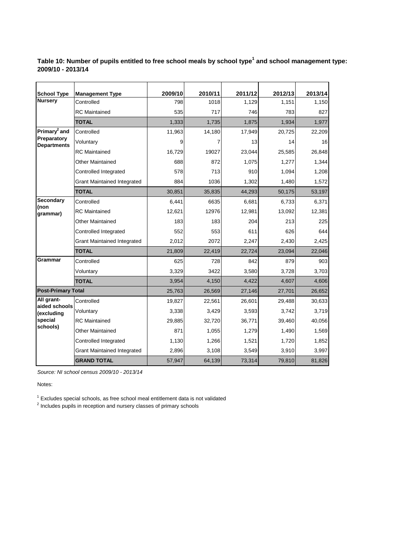| Table 10: Number of pupils entitled to free school meals by school type <sup>1</sup> and school management type: |  |
|------------------------------------------------------------------------------------------------------------------|--|
| 2009/10 - 2013/14                                                                                                |  |

| <b>School Type</b><br><b>Nursery</b> | <b>Management Type</b><br>Controlled | 2009/10<br>798 | 2010/11<br>1018 | 2011/12<br>1,129 | 2012/13<br>1,151 | 2013/14<br>1,150 |
|--------------------------------------|--------------------------------------|----------------|-----------------|------------------|------------------|------------------|
|                                      | <b>RC</b> Maintained                 | 535            | 717             | 746              | 783              | 827              |
|                                      | <b>TOTAL</b>                         | 1,333          | 1,735           | 1,875            | 1,934            | 1,977            |
| Primary <sup>2</sup> and             | Controlled                           | 11,963         | 14,180          | 17,949           | 20,725           | 22,209           |
| Preparatory                          | Voluntary                            | 9              | 7               | 13               | 14               | 16               |
| <b>Departments</b>                   | <b>RC</b> Maintained                 | 16,729         | 19027           | 23,044           | 25,585           | 26,848           |
|                                      |                                      |                |                 |                  |                  |                  |
|                                      | <b>Other Maintained</b>              | 688            | 872             | 1,075            | 1,277            | 1,344            |
|                                      | Controlled Integrated                | 578            | 713             | 910              | 1,094            | 1,208            |
|                                      | <b>Grant Maintained Integrated</b>   | 884            | 1036            | 1,302            | 1,480            | 1,572            |
|                                      | <b>TOTAL</b>                         | 30,851         | 35,835          | 44,293           | 50,175           | 53,197           |
| Secondary<br>(non                    | Controlled                           | 6,441          | 6635            | 6,681            | 6,733            | 6,371            |
| grammar)                             | <b>RC</b> Maintained                 | 12,621         | 12976           | 12,981           | 13,092           | 12,381           |
|                                      | <b>Other Maintained</b>              | 183            | 183             | 204              | 213              | 225              |
|                                      | Controlled Integrated                | 552            | 553             | 611              | 626              | 644              |
|                                      | <b>Grant Maintained Integrated</b>   | 2,012          | 2072            | 2,247            | 2,430            | 2,425            |
|                                      | <b>TOTAL</b>                         | 21,809         | 22,419          | 22,724           | 23,094           | 22,046           |
| Grammar                              | Controlled                           | 625            | 728             | 842              | 879              | 903              |
|                                      | Voluntary                            | 3,329          | 3422            | 3,580            | 3,728            | 3,703            |
|                                      | <b>TOTAL</b>                         | 3,954          | 4,150           | 4,422            | 4,607            | 4,606            |
| <b>Post-Primary Total</b>            |                                      | 25,763         | 26,569          | 27,146           | 27,701           | 26,652           |
| All grant-                           | Controlled                           | 19,827         | 22,561          | 26,601           | 29,488           | 30,633           |
| aided schools<br>(excluding          | Voluntary                            | 3,338          | 3,429           | 3,593            | 3,742            | 3,719            |
| special                              | <b>RC</b> Maintained                 | 29,885         | 32,720          | 36,771           | 39,460           | 40,056           |
| schools)                             | <b>Other Maintained</b>              | 871            | 1,055           | 1,279            | 1,490            | 1,569            |
|                                      | Controlled Integrated                | 1,130          | 1,266           | 1,521            | 1,720            | 1,852            |
|                                      | <b>Grant Maintained Integrated</b>   | 2,896          | 3,108           | 3,549            | 3,910            | 3,997            |
|                                      | <b>GRAND TOTAL</b>                   | 57,947         | 64,139          | 73,314           | 79,810           | 81,826           |

*Source: NI school census 2009/10 - 2013/14*

Notes:

 $^1$  Excludes special schools, as free school meal entitlement data is not validated<br><sup>2</sup> Includes pupils in reception and nursery classes of primary schools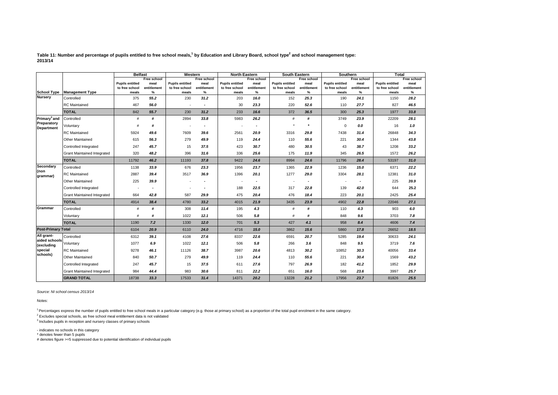Table 11: Number and percentage of pupils entitled to free school meals,<sup>1</sup> by Education and Library Board, school type<sup>2</sup> and school management type: **2013/14**

|                                  |                                    | <b>Belfast</b>                           |                          | Western                                  |                     |                                          | <b>North Eastern</b> |                                          | <b>South Eastern</b> |                                          | Southern            |                                          | <b>Total</b>        |  |
|----------------------------------|------------------------------------|------------------------------------------|--------------------------|------------------------------------------|---------------------|------------------------------------------|----------------------|------------------------------------------|----------------------|------------------------------------------|---------------------|------------------------------------------|---------------------|--|
|                                  |                                    |                                          | Free school              |                                          | Free school         |                                          | Free school          |                                          | Free school          |                                          | Free school         |                                          | Free school         |  |
|                                  |                                    | <b>Pupils entitled</b><br>to free school | meal<br>entitlement      | <b>Pupils entitled</b><br>to free school | meal<br>entitlement | <b>Pupils entitled</b><br>to free school | meal<br>entitlement  | <b>Pupils entitled</b><br>to free school | meal<br>entitlement  | <b>Pupils entitled</b><br>to free school | meal<br>entitlement | <b>Pupils entitled</b><br>to free school | meal<br>entitlement |  |
| <b>School Type</b>               | <b>Management Type</b>             | meals                                    | $\frac{9}{6}$            | meals                                    | %                   | meals                                    | $\frac{9}{6}$        | meals                                    | %                    | meals                                    | $\%$                | meals                                    | $\frac{9}{6}$       |  |
| <b>Nursery</b>                   | Controlled                         | 375                                      | 55.2                     | 230                                      | 31.2                | 203                                      | 16.0                 | 152                                      | 25.3                 | 190                                      | 24.1                | 1150                                     | 28.2                |  |
|                                  | <b>RC</b> Maintained               | 467                                      | 56.0                     |                                          |                     | 30                                       | 23.3                 | 220                                      | 52.6                 | 110                                      | 27.7                | 827                                      | 46.5                |  |
|                                  | <b>TOTAL</b>                       | 842                                      | 55.7                     | 230                                      | 31.2                | 233                                      | 16.6                 | 372                                      | 36.5                 | 300                                      | 25.3                | 1977                                     | 33.8                |  |
| Primary <sup>3</sup> and         | Controlled                         | #                                        | #                        | 2894                                     | 33.8                | 5983                                     | 26.2                 | $\#$                                     | #                    | 3749                                     | 23.9                | 22209                                    | 28.1                |  |
| Preparatory<br><b>Department</b> | Voluntary                          | #                                        | #                        |                                          |                     | $\overline{\phantom{a}}$                 |                      |                                          | $\star$              | $\mathbf 0$                              | 0.0                 | 16                                       | 1.0                 |  |
|                                  | <b>RC</b> Maintained               | 5924                                     | 49.6                     | 7609                                     | 39.6                | 2561                                     | 20.9                 | 3316                                     | 29.8                 | 7438                                     | 31.4                | 26848                                    | 34.3                |  |
|                                  | <b>Other Maintained</b>            | 615                                      | 56.3                     | 279                                      | 49.9                | 119                                      | 24.4                 | 110                                      | 55.6                 | 221                                      | 30.4                | 1344                                     | 43.8                |  |
|                                  | Controlled Integrated              | 247                                      | 45.7                     | 15                                       | 37.5                | 423                                      | 30.7                 | 480                                      | 30.5                 | 43                                       | 38.7                | 1208                                     | 33.2                |  |
|                                  | <b>Grant Maintained Integrated</b> | 320                                      | 48.2                     | 396                                      | 31.6                | 336                                      | 25.6                 | 175                                      | 11.9                 | 345                                      | 26.5                | 1572                                     | 26.2                |  |
|                                  | <b>TOTAL</b>                       | 11792                                    | 46.2                     | 11193                                    | 37.8                | 9422                                     | 24.6                 | 8994                                     | 24.6                 | 11796                                    | 28.4                | 53197                                    | 31.0                |  |
| Secondary                        | Controlled                         | 1138                                     | 33.9                     | 676                                      | 23.3                | 1956                                     | 23.7                 | 1365                                     | 22.9                 | 1236                                     | 15.0                | 6371                                     | 22.2                |  |
| (non<br>grammar)                 | <b>RC</b> Maintained               | 2887                                     | 39.4                     | 3517                                     | 36.9                | 1396                                     | 20.1                 | 1277                                     | 29.0                 | 3304                                     | 28.1                | 12381                                    | 31.0                |  |
|                                  | <b>Other Maintained</b>            | 225                                      | 39.9                     |                                          |                     | . .                                      |                      | $\overline{\phantom{a}}$                 |                      |                                          |                     | 225                                      | 39.9                |  |
|                                  | Controlled Integrated              |                                          | $\overline{\phantom{a}}$ |                                          |                     | 188                                      | 22.5                 | 317                                      | 22.8                 | 139                                      | 42.0                | 644                                      | 25.2                |  |
|                                  | <b>Grant Maintained Integrated</b> | 664                                      | 42.8                     | 587                                      | 29.9                | 475                                      | 20.4                 | 476                                      | 18.4                 | 223                                      | 20.1                | 2425                                     | 25.4                |  |
|                                  | <b>TOTAL</b>                       | 4914                                     | 38.4                     | 4780                                     | 33.2                | 4015                                     | 21.9                 | 3435                                     | 23.9                 | 4902                                     | 22.8                | 22046                                    | 27.1                |  |
| Grammar                          | Controlled                         | #                                        | #                        | 308                                      | 11.4                | 195                                      | 4.3                  | #                                        | #                    | 110                                      | 4.3                 | 903                                      | 6.0                 |  |
|                                  | Voluntary                          | #                                        | #                        | 1022                                     | 12.1                | 506                                      | 5.8                  | #                                        | #                    | 848                                      | 9.6                 | 3703                                     | 7.8                 |  |
|                                  | <b>TOTAL</b>                       | 1190                                     | 7.2                      | 1330                                     | 12.0                | 701                                      | 5.3                  | 427                                      | 4.1                  | 958                                      | 8.4                 | 4606                                     | 7.4                 |  |
| <b>Post-Primary Total</b>        |                                    | 6104                                     | 20.9                     | 6110                                     | 24.0                | 4716                                     | 15.0                 | 3862                                     | 15.6                 | 5860                                     | 17.8                | 26652                                    | 18.5                |  |
| All grant-<br>aided schools      | Controlled                         | 6312                                     | 39.1                     | 4108                                     | 27.6                | 8337                                     | 22.6                 | 6591                                     | 20.7                 | 5285                                     | 19.4                | 30633                                    | 24.1                |  |
| (excluding                       | Voluntary                          | 1077                                     | 6.9                      | 1022                                     | 12.1                | 506                                      | 5.8                  | 266                                      | 3.6                  | 848                                      | 9.5                 | 3719                                     | 7.6                 |  |
| special                          | <b>RC</b> Maintained               | 9278                                     | 46.1                     | 11126                                    | 38.7                | 3987                                     | 20.6                 | 4813                                     | 30.2                 | 10852                                    | 30.3                | 40056                                    | 33.4                |  |
| schools)                         | <b>Other Maintained</b>            | 840                                      | 50.7                     | 279                                      | 49.9                | 119                                      | 24.4                 | 110                                      | 55.6                 | 221                                      | 30.4                | 1569                                     | 43.2                |  |
|                                  | Controlled Integrated              | 247                                      | 45.7                     | 15                                       | 37.5                | 611                                      | 27.6                 | 797                                      | 26.9                 | 182                                      | 41.2                | 1852                                     | 29.9                |  |
|                                  | <b>Grant Maintained Integrated</b> | 984                                      | 44.4                     | 983                                      | 30.6                | 811                                      | 22.2                 | 651                                      | 16.0                 | 568                                      | 23.6                | 3997                                     | 25.7                |  |
|                                  | <b>GRAND TOTAL</b>                 | 18738                                    | 33.3                     | 17533                                    | 31.4                | 14371                                    | 20.2                 | 13228                                    | 21.2                 | 17956                                    | 23.7                | 81826                                    | 25.5                |  |

*Source: NI school census 2013/14*

Notes:

1 Percentages express the number of pupils entitled to free school meals in a particular category (e.g. those at primary school) as a proportion of the total pupil enrolment in the same category.

<sup>2</sup> Excludes special schools, as free school meal entitlement data is not validated

<sup>3</sup> Includes pupils in reception and nursery classes of primary schools

- indicates no schools in this category

\* denotes fewer than 5 pupils

# denotes figure >=5 suppressed due to potential identification of individual pupils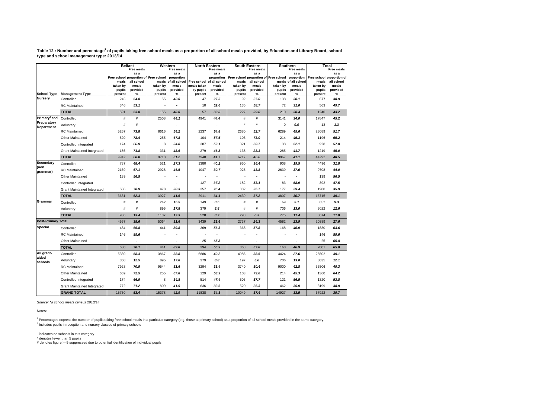**Table 12 : Number and percentage<sup>1</sup> of pupils taking free school meals as a proportion of all school meals provided, by Education and Library Board, school type and school management type: 2013/14**

|                                      |                                    |                          | <b>Belfast</b>                                      |          | Western                           |             | <b>North Eastern</b>                    |          | <b>South Eastern</b>                    | Southern    |                                   | Total    |                                         |
|--------------------------------------|------------------------------------|--------------------------|-----------------------------------------------------|----------|-----------------------------------|-------------|-----------------------------------------|----------|-----------------------------------------|-------------|-----------------------------------|----------|-----------------------------------------|
|                                      |                                    |                          | <b>Free meals</b>                                   |          | <b>Free meals</b>                 |             | <b>Free meals</b>                       |          | <b>Free meals</b>                       |             | <b>Free meals</b>                 |          | <b>Free meals</b>                       |
|                                      |                                    |                          | as a                                                |          | as a                              |             | as a                                    |          | as a                                    |             | as a                              |          | as a                                    |
|                                      |                                    | meals                    | Free school proportion of Free school<br>all school |          | proportion<br>meals of all school |             | proportion<br>Free school of all school | meals    | Free school proportion of<br>all school | Free school | proportion<br>meals of all school | meals    | Free school proportion of<br>all school |
|                                      |                                    | taken by                 | meals                                               | taken by | meals                             | meals taken | meals                                   | taken by | meals                                   | taken by    | meals                             | taken by | meals                                   |
|                                      |                                    | pupils                   | provided                                            | pupils   | provided                          | by pupils   | provided                                | pupils   | provided                                | pupils      | provided                          | pupils   | provided                                |
| <b>School Type</b><br><b>Nurserv</b> | <b>Management Type</b>             | present                  | %                                                   | present  | %                                 | present     | %                                       | present  | %                                       | present     | %                                 | present  | %                                       |
|                                      | Controlled                         | 245                      | 54.8                                                | 155      | 48.0                              | 47          | 27.5                                    | 92       | 27.0                                    | 138         | 30.1                              | 677      | 38.9                                    |
|                                      | <b>RC</b> Maintained               | 346                      | 53.1                                                | Ĭ.       | $\overline{\phantom{a}}$          | 10          | 52.6                                    | 135      | 58.7                                    | 72          | 31.0                              | 563      | 49.7                                    |
|                                      | <b>TOTAL</b>                       | 591                      | 53.8                                                | 155      | 48.0                              | 57          | 30.0                                    | 227      | 39.8                                    | 210         | 30.4                              | 1240     | 43.2                                    |
| Primary <sup>2</sup> and             | Controlled                         | #                        | #                                                   | 2508     | 44.1                              | 4941        | 44.4                                    | $\#$     | #                                       | 3141        | 34.0                              | 17847    | 45.2                                    |
| Preparatory<br><b>Department</b>     | Voluntary                          | #                        | #                                                   | ÷        | ÷                                 |             | $\overline{\phantom{a}}$                | ×        | $\star$                                 | $\mathbf 0$ | 0.0                               | 13       | 1.3                                     |
|                                      | <b>RC</b> Maintained               | 5267                     | 73.8                                                | 6616     | 54.2                              | 2237        | 34.8                                    | 2680     | 52.7                                    | 6289        | 45.6                              | 23089    | 51.7                                    |
|                                      | <b>Other Maintained</b>            | 520                      | 78.4                                                | 255      | 67.8                              | 104         | 57.5                                    | 103      | 73.0                                    | 214         | 45.3                              | 1196     | 65.2                                    |
|                                      | Controlled Integrated              | 174                      | 66.9                                                | 8        | 34.8                              | 387         | 52.1                                    | 321      | 60.7                                    | 38          | 52.1                              | 928      | 57.0                                    |
|                                      | <b>Grant Maintained Integrated</b> | 186                      | 71.8                                                | 331      | 48.6                              | 279         | 46.8                                    | 138      | 28.3                                    | 285         | 41.7                              | 1219     | 45.0                                    |
|                                      | <b>TOTAL</b>                       | 9942                     | 68.0                                                | 9718     | 51.2                              | 7948        | 41.7                                    | 6717     | 46.6                                    | 9967        | 41.1                              | 44292    | 48.5                                    |
| Secondary                            | Controlled                         | 737                      | 48.4                                                | 521      | 27.3                              | 1380        | 40.2                                    | 950      | 36.4                                    | 908         | 19.5                              | 4496     | 31.8                                    |
| (non<br>grammar)                     | <b>RC</b> Maintained               | 2169                     | 67.1                                                | 2928     | 46.5                              | 1047        | 30.7                                    | 925      | 43.8                                    | 2639        | 37.6                              | 9708     | 44.0                                    |
|                                      | <b>Other Maintained</b>            | 139                      | 56.5                                                |          |                                   |             | ٠                                       |          | ٠                                       |             | ä,                                | 139      | 56.5                                    |
|                                      | <b>Controlled Integrated</b>       | J.                       | $\overline{\phantom{a}}$                            |          | $\tilde{\phantom{a}}$             | 127         | 37.2                                    | 182      | 53.1                                    | 83          | 58.9                              | 392      | 47.5                                    |
|                                      | Grant Maintained Integrated        | 586                      | 70.9                                                | 478      | 38.3                              | 357         | 26.4                                    | 382      | 25.7                                    | 177         | 29.4                              | 1980     | 35.9                                    |
|                                      | <b>TOTAL</b>                       | 3631                     | 62.3                                                | 3927     | 41.6                              | 2911        | 34.1                                    | 2439     | 37.2                                    | 3807        | 30.7                              | 16715    | 39.1                                    |
| Grammar                              | Controlled                         | #                        | #                                                   | 242      | 15.5                              | 149         | 8.5                                     | #        | #                                       | 69          | 5.1                               | 652      | 9.3                                     |
|                                      | Voluntary                          | #                        | #                                                   | 895      | 17.8                              | 379         | 8.8                                     | #        | #                                       | 706         | 13.0                              | 3022     | 12.6                                    |
|                                      | <b>TOTAL</b>                       | 936                      | 13.4                                                | 1137     | 17.3                              | 528         | 8.7                                     | 298      | 6.3                                     | 775         | 11.4                              | 3674     | 11.8                                    |
| <b>Post-Primary Total</b>            |                                    | 4567                     | 35.6                                                | 5064     | 31.6                              | 3439        | 23.6                                    | 2737     | 24.3                                    | 4582        | 23.9                              | 20389    | 27.6                                    |
| <b>Special</b>                       | Controlled                         | 484                      | 65.8                                                | 441      | 89.8                              | 369         | 56.3                                    | 368      | 57.8                                    | 168         | 46.9                              | 1830     | 63.6                                    |
|                                      | <b>RC</b> Maintained               | 146                      | 89.6                                                |          |                                   |             |                                         |          |                                         |             |                                   | 146      | 89.6                                    |
|                                      | <b>Other Maintained</b>            | $\overline{\phantom{a}}$ |                                                     | ä,       |                                   | 25          | 65.8                                    |          |                                         |             |                                   | 25       | 65.8                                    |
|                                      | <b>TOTAL</b>                       | 630                      | 70.1                                                | 441      | 89.8                              | 394         | 56.9                                    | 368      | 57.8                                    | 168         | 46.9                              | 2001     | 65.0                                    |
| All grant-                           | Controlled                         | 5339                     | 58.3                                                | 3867     | 38.8                              | 6886        | 40.2                                    | 4986     | 38.5                                    | 4424        | 27.6                              | 25502    | 39.1                                    |
| aided<br>schools                     | Voluntary                          | 858                      | 12.5                                                | 895      | 17.8                              | 379         | 8.8                                     | 197      | 5.6                                     | 706         | 13.0                              | 3035     | 12.1                                    |
|                                      | <b>RC</b> Maintained               | 7928                     | 70.9                                                | 9544     | 51.6                              | 3294        | 33.4                                    | 3740     | 50.4                                    | 9000        | 42.8                              | 33506    | 49.3                                    |
|                                      | <b>Other Maintained</b>            | 659                      | 72.5                                                | 255      | 67.8                              | 129         | 58.9                                    | 103      | 73.0                                    | 214         | 45.3                              | 1360     | 64.2                                    |
|                                      | Controlled Integrated              | 174                      | 66.9                                                | 8        | 34.8                              | 514         | 47.4                                    | 503      | 57.7                                    | 121         | 56.5                              | 1320     | 53.8                                    |
|                                      | Grant Maintained Integrated        | 772                      | 71.2                                                | 809      | 41.9                              | 636         | 32.6                                    | 520      | 26.3                                    | 462         | 35.9                              | 3199     | 38.9                                    |
|                                      | <b>GRAND TOTAL</b>                 | 15730                    | 53.4                                                | 15378    | 42.9                              | 11838       | 34.3                                    | 10049    | 37.4                                    | 14927       | 33.5                              | 67922    | 39.7                                    |

*Source: NI school meals census 2013/14* 

Notes:

<sup>2</sup> Includes pupils in reception and nursery classes of primary schools <sup>1</sup> Percentages express the number of pupils taking free school meals in a particular category (e.g. those at primary school) as a proportion of all school meals provided in the same category.

- indicates no schools in this category

\* denotes fewer than 5 pupils

# denotes figure >=5 suppressed due to potential identification of individual pupils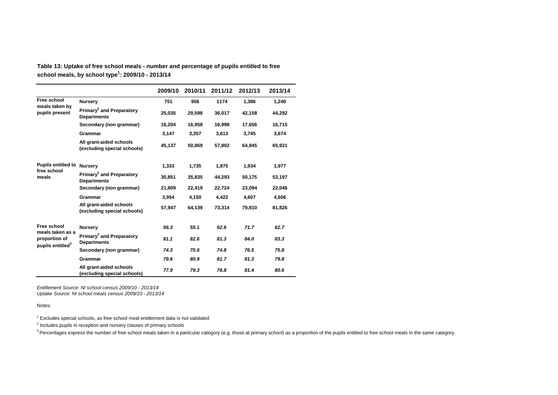|                                          |                                                            | 2009/10 | 2010/11 | 2011/12 | 2012/13 | 2013/14 |
|------------------------------------------|------------------------------------------------------------|---------|---------|---------|---------|---------|
| Free school                              | <b>Nursery</b>                                             | 751     | 956     | 1174    | 1,386   | 1,240   |
| meals taken by<br>pupils present         | Primary <sup>2</sup> and Preparatory<br><b>Departments</b> | 25,035  | 29,598  | 36,017  | 42,158  | 44,292  |
|                                          | Secondary (non grammar)                                    | 16,204  | 16,958  | 16,998  | 17,656  | 16,715  |
|                                          | <b>Grammar</b>                                             | 3,147   | 3,357   | 3,613   | 3,745   | 3,674   |
|                                          | All grant-aided schools<br>(excluding special schools)     | 45,137  | 50,869  | 57,802  | 64,945  | 65,921  |
| <b>Pupils entitled to</b><br>free school | <b>Nursery</b>                                             | 1,333   | 1,735   | 1,875   | 1,934   | 1,977   |
| meals                                    | Primary <sup>2</sup> and Preparatory<br><b>Departments</b> | 30,851  | 35,835  | 44,293  | 50,175  | 53,197  |
|                                          | Secondary (non grammar)                                    | 21,809  | 22,419  | 22,724  | 23,094  | 22,046  |
|                                          | Grammar                                                    | 3,954   | 4,150   | 4,422   | 4,607   | 4,606   |
|                                          | All grant-aided schools<br>(excluding special schools)     | 57,947  | 64,139  | 73,314  | 79,810  | 81,826  |
| Free school                              | <b>Nursery</b>                                             | 56.3    | 55.1    | 62.6    | 71.7    | 62.7    |
| meals taken as a<br>proportion of        | Primary <sup>2</sup> and Preparatory<br><b>Departments</b> | 81.1    | 82.6    | 81.3    | 84.0    | 83.3    |
| pupils entitled <sup>3</sup>             | Secondary (non grammar)                                    | 74.3    | 75.6    | 74.8    | 76.5    | 75.8    |
|                                          | Grammar                                                    | 79.6    | 80.9    | 81.7    | 81.3    | 79.8    |
|                                          | All grant-aided schools<br>(excluding special schools)     | 77.9    | 79.3    | 78.8    | 81.4    | 80.6    |

**Table 13: Uptake of free school meals - number and percentage of pupils entitled to free school meals, by school type<sup>1</sup> : 2009/10 - 2013/14**

*Entitlement Source: NI school census 2009/10 - 2013/14*

*Uptake Source: NI school meals census 2009/10 - 2013/14* 

Notes:

<sup>1</sup> Excludes special schools, as free school meal entitlement data is not validated

 $2$  Includes pupils in reception and nursery classes of primary schools

<sup>3</sup> Percentages express the number of free school meals taken in a particular category (e.g. those at primary school) as a proportion of the pupils entitled to free school meals in the same category.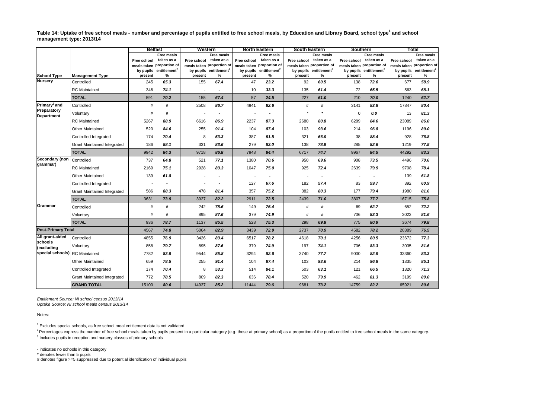**Table 14: Uptake of free school meals - number and percentage of pupils entitled to free school meals, by Education and Library Board, school type<sup>1</sup> and school management type: 2013/14**

|                                  |                                    |                        | <b>Belfast</b>                                                                                          | Western                |                                                                                                  |                        | <b>North Eastern</b>                                                                                    | <b>South Eastern</b>   |                                                                                                         |                        | Southern                                                                                         |                        | Total                                                                                            |  |
|----------------------------------|------------------------------------|------------------------|---------------------------------------------------------------------------------------------------------|------------------------|--------------------------------------------------------------------------------------------------|------------------------|---------------------------------------------------------------------------------------------------------|------------------------|---------------------------------------------------------------------------------------------------------|------------------------|--------------------------------------------------------------------------------------------------|------------------------|--------------------------------------------------------------------------------------------------|--|
| <b>School Type</b>               | <b>Management Type</b>             | Free school<br>present | <b>Free meals</b><br>taken as a<br>meals taken proportion of<br>by pupils entitlement <sup>2</sup><br>% | Free school<br>present | Free meals<br>taken as a<br>meals taken proportion of<br>by pupils entitlement <sup>2</sup><br>% | Free school<br>present | <b>Free meals</b><br>taken as a<br>meals taken proportion of<br>by pupils entitlement <sup>2</sup><br>% | Free school<br>present | <b>Free meals</b><br>taken as a<br>meals taken proportion of<br>by pupils entitlement <sup>2</sup><br>% | Free school<br>present | Free meals<br>taken as a<br>meals taken proportion of<br>by pupils entitlement <sup>2</sup><br>% | Free school<br>present | Free meals<br>taken as a<br>meals taken proportion of<br>by pupils entitlement <sup>2</sup><br>% |  |
| <b>Nursery</b>                   | Controlled                         | 245                    | 65.3                                                                                                    | 155                    | 67.4                                                                                             | 47                     | 23.2                                                                                                    | 92                     | 60.5                                                                                                    | 138                    | 72.6                                                                                             | 677                    | 58.9                                                                                             |  |
|                                  | <b>RC</b> Maintained               | 346                    | 74.1                                                                                                    | $\blacksquare$         |                                                                                                  | 10                     | 33.3                                                                                                    | 135                    | 61.4                                                                                                    | 72                     | 65.5                                                                                             | 563                    | 68.1                                                                                             |  |
|                                  | <b>TOTAL</b>                       | 591                    | 70.2                                                                                                    | 155                    | 67.4                                                                                             | 57                     | 24.5                                                                                                    | 227                    | 61.0                                                                                                    | 210                    | 70.0                                                                                             | 1240                   | 62.7                                                                                             |  |
| Primary <sup>3</sup> and         | Controlled                         | #                      | #                                                                                                       | 2508                   | 86.7                                                                                             | 4941                   | 82.6                                                                                                    | $\#$                   | #                                                                                                       | 3141                   | 83.8                                                                                             | 17847                  | 80.4                                                                                             |  |
| Preparatory<br><b>Department</b> | Voluntary                          | #                      | #                                                                                                       |                        |                                                                                                  |                        | $\overline{\phantom{a}}$                                                                                |                        |                                                                                                         | $\mathbf 0$            | 0.0                                                                                              | 13                     | 81.3                                                                                             |  |
|                                  | <b>RC</b> Maintained               | 5267                   | 88.9                                                                                                    | 6616                   | 86.9                                                                                             | 2237                   | 87.3                                                                                                    | 2680                   | 80.8                                                                                                    | 6289                   | 84.6                                                                                             | 23089                  | 86.0                                                                                             |  |
|                                  | <b>Other Maintained</b>            | 520                    | 84.6                                                                                                    | 255                    | 91.4                                                                                             | 104                    | 87.4                                                                                                    | 103                    | 93.6                                                                                                    | 214                    | 96.8                                                                                             | 1196                   | 89.0                                                                                             |  |
|                                  | Controlled Integrated              | 174                    | 70.4                                                                                                    | 8                      | 53.3                                                                                             | 387                    | 91.5                                                                                                    | 321                    | 66.9                                                                                                    | 38                     | 88.4                                                                                             | 928                    | 76.8                                                                                             |  |
|                                  | <b>Grant Maintained Integrated</b> | 186                    | 58.1                                                                                                    | 331                    | 83.6                                                                                             | 279                    | 83.0                                                                                                    | 138                    | 78.9                                                                                                    | 285                    | 82.6                                                                                             | 1219                   | 77.5                                                                                             |  |
|                                  | <b>TOTAL</b>                       | 9942                   | 84.3                                                                                                    | 9718                   | 86.8                                                                                             | 7948                   | 84.4                                                                                                    | 6717                   | 74.7                                                                                                    | 9967                   | 84.5                                                                                             | 44292                  | 83.3                                                                                             |  |
| Secondary (non                   | Controlled                         | 737                    | 64.8                                                                                                    | 521                    | 77.1                                                                                             | 1380                   | 70.6                                                                                                    | 950                    | 69.6                                                                                                    | 908                    | 73.5                                                                                             | 4496                   | 70.6                                                                                             |  |
| grammar)                         | <b>RC</b> Maintained               | 2169                   | 75.1                                                                                                    | 2928                   | 83.3                                                                                             | 1047                   | 75.0                                                                                                    | 925                    | 72.4                                                                                                    | 2639                   | 79.9                                                                                             | 9708                   | 78.4                                                                                             |  |
|                                  | <b>Other Maintained</b>            | 139                    | 61.8                                                                                                    |                        |                                                                                                  |                        |                                                                                                         |                        |                                                                                                         |                        | $\overline{\phantom{0}}$                                                                         | 139                    | 61.8                                                                                             |  |
|                                  | Controlled Integrated              |                        |                                                                                                         |                        |                                                                                                  | 127                    | 67.6                                                                                                    | 182                    | 57.4                                                                                                    | 83                     | 59.7                                                                                             | 392                    | 60.9                                                                                             |  |
|                                  | <b>Grant Maintained Integrated</b> | 586                    | 88.3                                                                                                    | 478                    | 81.4                                                                                             | 357                    | 75.2                                                                                                    | 382                    | 80.3                                                                                                    | 177                    | 79.4                                                                                             | 1980                   | 81.6                                                                                             |  |
|                                  | <b>TOTAL</b>                       | 3631                   | 73.9                                                                                                    | 3927                   | 82.2                                                                                             | 2911                   | 72.5                                                                                                    | 2439                   | 71.0                                                                                                    | 3807                   | 77.7                                                                                             | 16715                  | 75.8                                                                                             |  |
| Grammar                          | Controlled                         | #                      | #                                                                                                       | 242                    | 78.6                                                                                             | 149                    | 76.4                                                                                                    | $\#$                   | #                                                                                                       | 69                     | 62.7                                                                                             | 652                    | 72.2                                                                                             |  |
|                                  | Voluntary                          | #                      | #                                                                                                       | 895                    | 87.6                                                                                             | 379                    | 74.9                                                                                                    | #                      | #                                                                                                       | 706                    | 83.3                                                                                             | 3022                   | 81.6                                                                                             |  |
|                                  | <b>TOTAL</b>                       | 936                    | 78.7                                                                                                    | 1137                   | 85.5                                                                                             | 528                    | 75.3                                                                                                    | 298                    | 69.8                                                                                                    | 775                    | 80.9                                                                                             | 3674                   | 79.8                                                                                             |  |
| <b>Post-Primary Total</b>        |                                    | 4567                   | 74.8                                                                                                    | 5064                   | 82.9                                                                                             | 3439                   | 72.9                                                                                                    | 2737                   | 70.9                                                                                                    | 4582                   | 78.2                                                                                             | 20389                  | 76.5                                                                                             |  |
| All grant-aided                  | Controlled                         | 4855                   | 76.9                                                                                                    | 3426                   | 83.4                                                                                             | 6517                   | 78.2                                                                                                    | 4618                   | 70.1                                                                                                    | 4256                   | 80.5                                                                                             | 23672                  | 77.3                                                                                             |  |
| schools<br>(excluding            | Voluntary                          | 858                    | 79.7                                                                                                    | 895                    | 87.6                                                                                             | 379                    | 74.9                                                                                                    | 197                    | 74.1                                                                                                    | 706                    | 83.3                                                                                             | 3035                   | 81.6                                                                                             |  |
| special schools) RC Maintained   |                                    | 7782                   | 83.9                                                                                                    | 9544                   | 85.8                                                                                             | 3294                   | 82.6                                                                                                    | 3740                   | 77.7                                                                                                    | 9000                   | 82.9                                                                                             | 33360                  | 83.3                                                                                             |  |
|                                  | <b>Other Maintained</b>            | 659                    | 78.5                                                                                                    | 255                    | 91.4                                                                                             | 104                    | 87.4                                                                                                    | 103                    | 93.6                                                                                                    | 214                    | 96.8                                                                                             | 1335                   | 85.1                                                                                             |  |
|                                  | Controlled Integrated              | 174                    | 70.4                                                                                                    | 8                      | 53.3                                                                                             | 514                    | 84.1                                                                                                    | 503                    | 63.1                                                                                                    | 121                    | 66.5                                                                                             | 1320                   | 71.3                                                                                             |  |
|                                  | <b>Grant Maintained Integrated</b> | 772                    | 78.5                                                                                                    | 809                    | 82.3                                                                                             | 636                    | 78.4                                                                                                    | 520                    | 79.9                                                                                                    | 462                    | 81.3                                                                                             | 3199                   | 80.0                                                                                             |  |
|                                  | <b>GRAND TOTAL</b>                 | 15100                  | 80.6                                                                                                    | 14937                  | 85.2                                                                                             | 11444                  | 79.6                                                                                                    | 9681                   | 73.2                                                                                                    | 14759                  | 82.2                                                                                             | 65921                  | 80.6                                                                                             |  |

*Entitlement Source: NI school census 2013/14*

*Uptake Source: NI school meals census 2013/14*

Notes:

<sup>1</sup> Excludes special schools, as free school meal entitlement data is not validated

 $^2$  Percentages express the number of free school meals taken by pupils present in a particular category (e.g. those at primary school) as a proportion of the pupils entitled to free school meals in the same category.  $3$  Includes pupils in reception and nursery classes of primary schools

- indicates no schools in this category

\* denotes fewer than 5 pupils

# denotes figure >=5 suppressed due to potential identification of individual pupils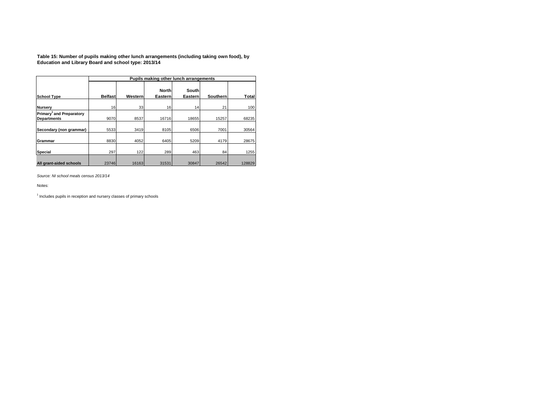**Table 15: Number of pupils making other lunch arrangements (including taking own food), by Education and Library Board and school type: 2013/14**

|                                      | Pupils making other lunch arrangements |         |              |         |          |        |  |  |  |  |  |
|--------------------------------------|----------------------------------------|---------|--------------|---------|----------|--------|--|--|--|--|--|
|                                      |                                        |         |              |         |          |        |  |  |  |  |  |
|                                      |                                        |         | <b>North</b> | South   |          |        |  |  |  |  |  |
| <b>School Type</b>                   | <b>Belfast</b>                         | Western | Eastern      | Eastern | Southern | Total  |  |  |  |  |  |
|                                      |                                        |         |              |         |          |        |  |  |  |  |  |
| Nursery                              | 16                                     | 33      | 16           | 14      | 21       | 100    |  |  |  |  |  |
| Primary <sup>1</sup> and Preparatory |                                        |         |              |         |          |        |  |  |  |  |  |
| <b>Departments</b>                   | 9070                                   | 8537    | 16716        | 18655   | 15257    | 68235  |  |  |  |  |  |
|                                      |                                        |         |              |         |          |        |  |  |  |  |  |
| Secondary (non grammar)              | 5533                                   | 3419    | 8105         | 6506    | 7001     | 30564  |  |  |  |  |  |
|                                      |                                        |         |              |         |          |        |  |  |  |  |  |
| Grammar                              | 8830                                   | 4052    | 6405         | 5209    | 4179     | 28675  |  |  |  |  |  |
|                                      |                                        |         |              |         |          |        |  |  |  |  |  |
| <b>Special</b>                       | 297                                    | 122     | 289          | 463     | 84       | 1255   |  |  |  |  |  |
|                                      |                                        |         |              |         |          |        |  |  |  |  |  |
| All grant-aided schools              | 23746                                  | 16163   | 31531        | 30847   | 26542    | 128829 |  |  |  |  |  |

*Source: NI school meals census 2013/14* 

Notes:

<sup>1</sup> Includes pupils in reception and nursery classes of primary schools